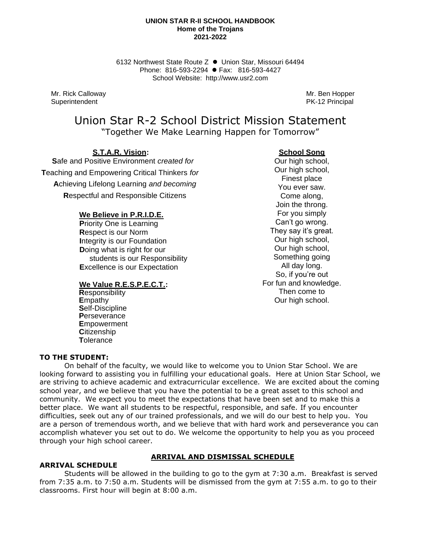#### **UNION STAR R-II SCHOOL HANDBOOK Home of the Trojans 2021-2022**

6132 Northwest State Route Z ⚫ Union Star, Missouri 64494 Phone: 816-593-2294 ⚫ Fax: 816-593-4427 School Website: http://www.usr2.com

Mr. Rick Calloway Mr. Ben Hopper Superintendent **PK-12 Principal** 

# Union Star R-2 School District Mission Statement "Together We Make Learning Happen for Tomorrow"

 **S.T.A.R. Vision:** 

 **S**afe and Positive Environment *created for* **T**eaching and Empowering Critical Thinkers *for* **A**chieving Lifelong Learning *and becoming* **R**espectful and Responsible Citizens

# **We Believe in P.R.I.D.E.**

 **P**riority One is Learning  **R**espect is our Norm  **I**ntegrity is our Foundation  **D**oing what is right for our students is our Responsibility  **E**xcellence is our Expectation

# **We Value R.E.S.P.E.C.T.:**

 **R**esponsibility  **E**mpathy  **S**elf-Discipline  **P**erseverance  **E**mpowerment  **C**itizenship  **T**olerance

# **School Song**

Our high school, Our high school, Finest place You ever saw. Come along, Join the throng. For you simply Can't go wrong. They say it's great. Our high school. Our high school, Something going All day long. So, if you're out For fun and knowledge. Then come to Our high school.

# **TO THE STUDENT:**

On behalf of the faculty, we would like to welcome you to Union Star School. We are looking forward to assisting you in fulfilling your educational goals. Here at Union Star School, we are striving to achieve academic and extracurricular excellence. We are excited about the coming school year, and we believe that you have the potential to be a great asset to this school and community. We expect you to meet the expectations that have been set and to make this a better place. We want all students to be respectful, responsible, and safe. If you encounter difficulties, seek out any of our trained professionals, and we will do our best to help you. You are a person of tremendous worth, and we believe that with hard work and perseverance you can accomplish whatever you set out to do. We welcome the opportunity to help you as you proceed through your high school career.

# **ARRIVAL SCHEDULE**

# **ARRIVAL AND DISMISSAL SCHEDULE**

Students will be allowed in the building to go to the gym at 7:30 a.m. Breakfast is served from 7:35 a.m. to 7:50 a.m. Students will be dismissed from the gym at 7:55 a.m. to go to their classrooms. First hour will begin at 8:00 a.m.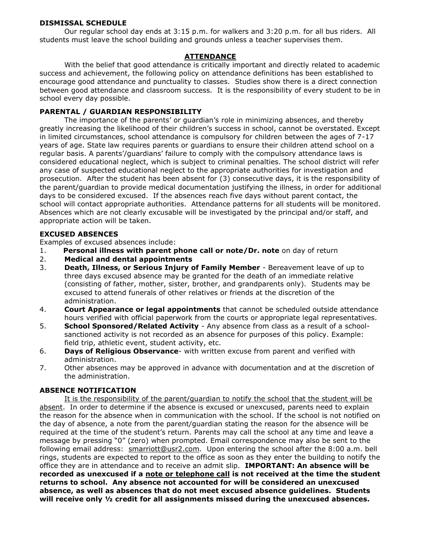# **DISMISSAL SCHEDULE**

Our regular school day ends at 3:15 p.m. for walkers and 3:20 p.m. for all bus riders. All students must leave the school building and grounds unless a teacher supervises them.

# **ATTENDANCE**

With the belief that good attendance is critically important and directly related to academic success and achievement, the following policy on attendance definitions has been established to encourage good attendance and punctuality to classes. Studies show there is a direct connection between good attendance and classroom success. It is the responsibility of every student to be in school every day possible.

# **PARENTAL / GUARDIAN RESPONSIBILITY**

The importance of the parents' or guardian's role in minimizing absences, and thereby greatly increasing the likelihood of their children's success in school, cannot be overstated. Except in limited circumstances, school attendance is compulsory for children between the ages of 7-17 years of age. State law requires parents or guardians to ensure their children attend school on a regular basis. A parents'/guardians' failure to comply with the compulsory attendance laws is considered educational neglect, which is subject to criminal penalties. The school district will refer any case of suspected educational neglect to the appropriate authorities for investigation and prosecution. After the student has been absent for (3) consecutive days, it is the responsibility of the parent/guardian to provide medical documentation justifying the illness, in order for additional days to be considered excused. If the absences reach five days without parent contact, the school will contact appropriate authorities. Attendance patterns for all students will be monitored. Absences which are not clearly excusable will be investigated by the principal and/or staff, and appropriate action will be taken.

# **EXCUSED ABSENCES**

Examples of excused absences include:

- 1. **Personal illness with parent phone call or note/Dr. note** on day of return
- 2. **Medical and dental appointments**
- 3. **Death, Illness, or Serious Injury of Family Member** Bereavement leave of up to three days excused absence may be granted for the death of an immediate relative (consisting of father, mother, sister, brother, and grandparents only). Students may be excused to attend funerals of other relatives or friends at the discretion of the administration.
- 4. **Court Appearance or legal appointments** that cannot be scheduled outside attendance hours verified with official paperwork from the courts or appropriate legal representatives.
- 5. **School Sponsored/Related Activity** Any absence from class as a result of a schoolsanctioned activity is not recorded as an absence for purposes of this policy. Example: field trip, athletic event, student activity, etc.
- 6. **Days of Religious Observance** with written excuse from parent and verified with administration.
- 7. Other absences may be approved in advance with documentation and at the discretion of the administration.

# **ABSENCE NOTIFICATION**

It is the responsibility of the parent/guardian to notify the school that the student will be absent. In order to determine if the absence is excused or unexcused, parents need to explain the reason for the absence when in communication with the school. If the school is not notified on the day of absence, a note from the parent/guardian stating the reason for the absence will be required at the time of the student's return. Parents may call the school at any time and leave a message by pressing "0" (zero) when prompted. Email correspondence may also be sent to the following email address: smarriott@usr2.com. Upon entering the school after the 8:00 a.m. bell rings, students are expected to report to the office as soon as they enter the building to notify the office they are in attendance and to receive an admit slip. **IMPORTANT: An absence will be recorded as unexcused if a note or telephone call is not received at the time the student returns to school. Any absence not accounted for will be considered an unexcused absence, as well as absences that do not meet excused absence guidelines. Students will receive only ½ credit for all assignments missed during the unexcused absences.**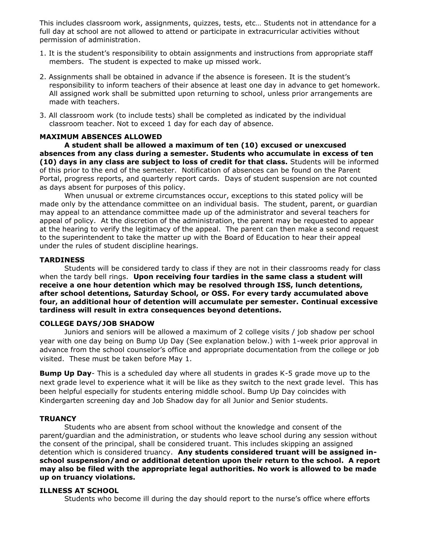This includes classroom work, assignments, quizzes, tests, etc… Students not in attendance for a full day at school are not allowed to attend or participate in extracurricular activities without permission of administration.

- 1. It is the student's responsibility to obtain assignments and instructions from appropriate staff members. The student is expected to make up missed work.
- 2. Assignments shall be obtained in advance if the absence is foreseen. It is the student's responsibility to inform teachers of their absence at least one day in advance to get homework. All assigned work shall be submitted upon returning to school, unless prior arrangements are made with teachers.
- 3. All classroom work (to include tests) shall be completed as indicated by the individual classroom teacher. Not to exceed 1 day for each day of absence.

# **MAXIMUM ABSENCES ALLOWED**

**A student shall be allowed a maximum of ten (10) excused or unexcused absences from any class during a semester. Students who accumulate in excess of ten (10) days in any class are subject to loss of credit for that class.** Students will be informed of this prior to the end of the semester. Notification of absences can be found on the Parent Portal, progress reports, and quarterly report cards. Days of student suspension are not counted as days absent for purposes of this policy.

When unusual or extreme circumstances occur, exceptions to this stated policy will be made only by the attendance committee on an individual basis. The student, parent, or guardian may appeal to an attendance committee made up of the administrator and several teachers for appeal of policy. At the discretion of the administration, the parent may be requested to appear at the hearing to verify the legitimacy of the appeal. The parent can then make a second request to the superintendent to take the matter up with the Board of Education to hear their appeal under the rules of student discipline hearings.

### **TARDINESS**

Students will be considered tardy to class if they are not in their classrooms ready for class when the tardy bell rings. **Upon receiving four tardies in the same class a student will receive a one hour detention which may be resolved through ISS, lunch detentions, after school detentions, Saturday School, or OSS. For every tardy accumulated above four, an additional hour of detention will accumulate per semester. Continual excessive tardiness will result in extra consequences beyond detentions.**

#### **COLLEGE DAYS/JOB SHADOW**

Juniors and seniors will be allowed a maximum of 2 college visits / job shadow per school year with one day being on Bump Up Day (See explanation below.) with 1-week prior approval in advance from the school counselor's office and appropriate documentation from the college or job visited. These must be taken before May 1.

**Bump Up Day-** This is a scheduled day where all students in grades K-5 grade move up to the next grade level to experience what it will be like as they switch to the next grade level. This has been helpful especially for students entering middle school. Bump Up Day coincides with Kindergarten screening day and Job Shadow day for all Junior and Senior students.

# **TRUANCY**

Students who are absent from school without the knowledge and consent of the parent/guardian and the administration, or students who leave school during any session without the consent of the principal, shall be considered truant. This includes skipping an assigned detention which is considered truancy. **Any students considered truant will be assigned inschool suspension/and or additional detention upon their return to the school. A report may also be filed with the appropriate legal authorities. No work is allowed to be made up on truancy violations.**

# **ILLNESS AT SCHOOL**

Students who become ill during the day should report to the nurse's office where efforts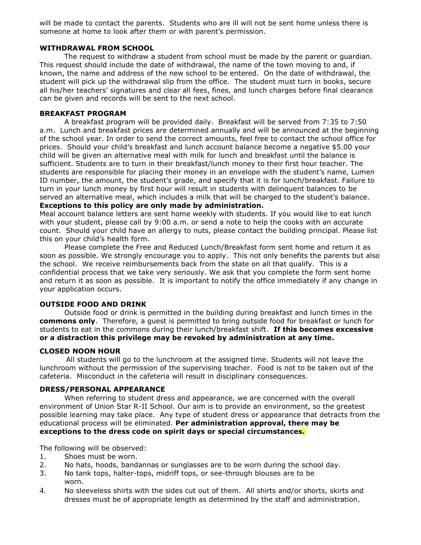will be made to contact the parents. Students who are ill will not be sent home unless there is someone at home to look after them or with parent's permission.

### **WITHDRAWAL FROM SCHOOL**

The request to withdraw a student from school must be made by the parent or guardian. This request should include the date of withdrawal, the name of the town moving to and, if known, the name and address of the new school to be entered. On the date of withdrawal, the student will pick up the withdrawal slip from the office. The student must turn in books, secure all his/her teachers' signatures and clear all fees, fines, and lunch charges before final clearance can be given and records will be sent to the next school.

### **BREAKFAST PROGRAM**

A breakfast program will be provided daily. Breakfast will be served from 7:35 to 7:50 a.m. Lunch and breakfast prices are determined annually and will be announced at the beginning of the school year. In order to send the correct amounts, feel free to contact the school office for prices. Should your child's breakfast and lunch account balance become a negative \$5.00 your child will be given an alternative meal with milk for lunch and breakfast until the balance is sufficient. Students are to turn in their breakfast/lunch money to their first hour teacher. The students are responsible for placing their money in an envelope with the student's name, Lumen ID number, the amount, the student's grade, and specify that it is for lunch/breakfast. Failure to turn in your lunch money by first hour will result in students with delinquent balances to be served an alternative meal, which includes a milk that will be charged to the student's balance. **Exceptions to this policy are only made by administration.**

Meal account balance letters are sent home weekly with students. If you would like to eat lunch with your student, please call by 9:00 a.m. or send a note to help the cooks with an accurate count. Should your child have an allergy to nuts, please contact the building principal. Please list this on your child's health form.

Please complete the Free and Reduced Lunch/Breakfast form sent home and return it as soon as possible. We strongly encourage you to apply. This not only benefits the parents but also the school. We receive reimbursements back from the state on all that qualify. This is a confidential process that we take very seriously. We ask that you complete the form sent home and return it as soon as possible. It is important to notify the office immediately if any change in your application occurs.

### **OUTSIDE FOOD AND DRINK**

Outside food or drink is permitted in the building during breakfast and lunch times in the **commons only**. Therefore, a guest is permitted to bring outside food for breakfast or lunch for students to eat in the commons during their lunch/breakfast shift. **If this becomes excessive or a distraction this privilege may be revoked by administration at any time.** 

#### **CLOSED NOON HOUR**

 All students will go to the lunchroom at the assigned time. Students will not leave the lunchroom without the permission of the supervising teacher. Food is not to be taken out of the cafeteria. Misconduct in the cafeteria will result in disciplinary consequences.

### **DRESS/PERSONAL APPEARANCE**

When referring to student dress and appearance, we are concerned with the overall environment of Union Star R-II School. Our aim is to provide an environment, so the greatest possible learning may take place. Any type of student dress or appearance that detracts from the educational process will be eliminated. **Per administration approval, there may be exceptions to the dress code on spirit days or special circumstances.**

The following will be observed:

- 1. Shoes must be worn.
- 2. No hats, hoods, bandannas or sunglasses are to be worn during the school day.
- 3. No tank tops, halter-tops, midriff tops, or see-through blouses are to be worn.
- 4. No sleeveless shirts with the sides cut out of them. All shirts and/or shorts, skirts and dresses must be of appropriate length as determined by the staff and administration.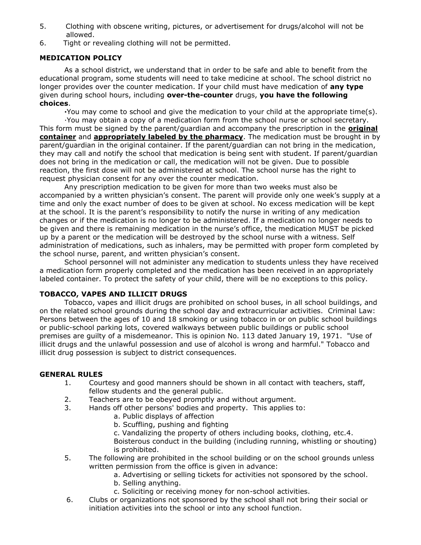- 5. Clothing with obscene writing, pictures, or advertisement for drugs/alcohol will not be allowed.
- 6. Tight or revealing clothing will not be permitted.

# **MEDICATION POLICY**

As a school district, we understand that in order to be safe and able to benefit from the educational program, some students will need to take medicine at school. The school district no longer provides over the counter medication. If your child must have medication of **any type** given during school hours, including **over-the-counter** drugs, **you have the following choices**.

**∙**You may come to school and give the medication to your child at the appropriate time(s).

∙You may obtain a copy of a medication form from the school nurse or school secretary. This form must be signed by the parent/guardian and accompany the prescription in the **original container** and **appropriately labeled by the pharmacy**. The medication must be brought in by parent/guardian in the original container. If the parent/guardian can not bring in the medication, they may call and notify the school that medication is being sent with student. If parent/guardian does not bring in the medication or call, the medication will not be given. Due to possible reaction, the first dose will not be administered at school. The school nurse has the right to request physician consent for any over the counter medication.

Any prescription medication to be given for more than two weeks must also be accompanied by a written physician's consent. The parent will provide only one week's supply at a time and only the exact number of does to be given at school. No excess medication will be kept at the school. It is the parent's responsibility to notify the nurse in writing of any medication changes or if the medication is no longer to be administered. If a medication no longer needs to be given and there is remaining medication in the nurse's office, the medication MUST be picked up by a parent or the medication will be destroyed by the school nurse with a witness. Self administration of medications, such as inhalers, may be permitted with proper form completed by the school nurse, parent, and written physician's consent.

School personnel will not administer any medication to students unless they have received a medication form properly completed and the medication has been received in an appropriately labeled container. To protect the safety of your child, there will be no exceptions to this policy.

# **TOBACCO, VAPES AND ILLICIT DRUGS**

Tobacco, vapes and illicit drugs are prohibited on school buses, in all school buildings, and on the related school grounds during the school day and extracurricular activities. Criminal Law: Persons between the ages of 10 and 18 smoking or using tobacco in or on public school buildings or public-school parking lots, covered walkways between public buildings or public school premises are guilty of a misdemeanor. This is opinion No. 113 dated January 19, 1971. "Use of illicit drugs and the unlawful possession and use of alcohol is wrong and harmful." Tobacco and illicit drug possession is subject to district consequences.

# **GENERAL RULES**

- 1. Courtesy and good manners should be shown in all contact with teachers, staff, fellow students and the general public.
- 2. Teachers are to be obeyed promptly and without argument.
- 3. Hands off other persons' bodies and property. This applies to:
	- a. Public displays of affection
	- b. Scuffling, pushing and fighting
	- c. Vandalizing the property of others including books, clothing, etc.4.

Boisterous conduct in the building (including running, whistling or shouting) is prohibited.

- 5. The following are prohibited in the school building or on the school grounds unless written permission from the office is given in advance:
	- a. Advertising or selling tickets for activities not sponsored by the school.
		- b. Selling anything.
	- c. Soliciting or receiving money for non-school activities.
- 6. Clubs or organizations not sponsored by the school shall not bring their social or initiation activities into the school or into any school function.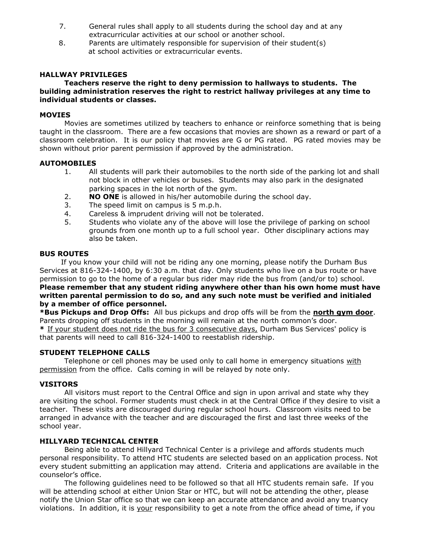- 7. General rules shall apply to all students during the school day and at any extracurricular activities at our school or another school.
- 8. Parents are ultimately responsible for supervision of their student(s) at school activities or extracurricular events.

### **HALLWAY PRIVILEGES**

### **Teachers reserve the right to deny permission to hallways to students. The building administration reserves the right to restrict hallway privileges at any time to individual students or classes.**

### **MOVIES**

Movies are sometimes utilized by teachers to enhance or reinforce something that is being taught in the classroom. There are a few occasions that movies are shown as a reward or part of a classroom celebration. It is our policy that movies are G or PG rated. PG rated movies may be shown without prior parent permission if approved by the administration.

#### **AUTOMOBILES**

- 1. All students will park their automobiles to the north side of the parking lot and shall not block in other vehicles or buses. Students may also park in the designated parking spaces in the lot north of the gym.
- 2. **NO ONE** is allowed in his/her automobile during the school day.
- 3. The speed limit on campus is 5 m.p.h.
- 4. Careless & imprudent driving will not be tolerated.
- 5. Students who violate any of the above will lose the privilege of parking on school grounds from one month up to a full school year. Other disciplinary actions may also be taken.

### **BUS ROUTES**

 If you know your child will not be riding any one morning, please notify the Durham Bus Services at 816-324-1400, by 6:30 a.m. that day. Only students who live on a bus route or have permission to go to the home of a regular bus rider may ride the bus from (and/or to) school. **Please remember that any student riding anywhere other than his own home must have written parental permission to do so, and any such note must be verified and initialed by a member of office personnel.**

**\*Bus Pickups and Drop Offs:** All bus pickups and drop offs will be from the **north gym door**. Parents dropping off students in the morning will remain at the north common's door. **\*** If your student does not ride the bus for 3 consecutive days, Durham Bus Services' policy is that parents will need to call 816-324-1400 to reestablish ridership.

# **STUDENT TELEPHONE CALLS**

Telephone or cell phones may be used only to call home in emergency situations with permission from the office. Calls coming in will be relayed by note only.

# **VISITORS**

All visitors must report to the Central Office and sign in upon arrival and state why they are visiting the school. Former students must check in at the Central Office if they desire to visit a teacher. These visits are discouraged during regular school hours. Classroom visits need to be arranged in advance with the teacher and are discouraged the first and last three weeks of the school year.

# **HILLYARD TECHNICAL CENTER**

Being able to attend Hillyard Technical Center is a privilege and affords students much personal responsibility. To attend HTC students are selected based on an application process. Not every student submitting an application may attend. Criteria and applications are available in the counselor's office.

The following guidelines need to be followed so that all HTC students remain safe. If you will be attending school at either Union Star or HTC, but will not be attending the other, please notify the Union Star office so that we can keep an accurate attendance and avoid any truancy violations. In addition, it is your responsibility to get a note from the office ahead of time, if you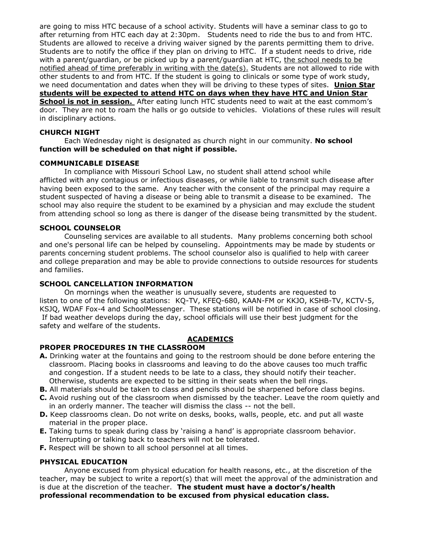are going to miss HTC because of a school activity. Students will have a seminar class to go to after returning from HTC each day at 2:30pm. Students need to ride the bus to and from HTC. Students are allowed to receive a driving waiver signed by the parents permitting them to drive. Students are to notify the office if they plan on driving to HTC. If a student needs to drive, ride with a parent/guardian, or be picked up by a parent/guardian at HTC, the school needs to be notified ahead of time preferably in writing with the date(s). Students are not allowed to ride with other students to and from HTC. If the student is going to clinicals or some type of work study, we need documentation and dates when they will be driving to these types of sites. **Union Star students will be expected to attend HTC on days when they have HTC and Union Star School is not in session.** After eating lunch HTC students need to wait at the east commom's door. They are not to roam the halls or go outside to vehicles. Violations of these rules will result

in disciplinary actions.

# **CHURCH NIGHT**

Each Wednesday night is designated as church night in our community. **No school function will be scheduled on that night if possible.**

# **COMMUNICABLE DISEASE**

In compliance with Missouri School Law, no student shall attend school while afflicted with any contagious or infectious diseases, or while liable to transmit such disease after having been exposed to the same. Any teacher with the consent of the principal may require a student suspected of having a disease or being able to transmit a disease to be examined. The school may also require the student to be examined by a physician and may exclude the student from attending school so long as there is danger of the disease being transmitted by the student.

# **SCHOOL COUNSELOR**

Counseling services are available to all students. Many problems concerning both school and one's personal life can be helped by counseling. Appointments may be made by students or parents concerning student problems. The school counselor also is qualified to help with career and college preparation and may be able to provide connections to outside resources for students and families.

# **SCHOOL CANCELLATION INFORMATION**

On mornings when the weather is unusually severe, students are requested to listen to one of the following stations: KQ-TV, KFEQ-680, KAAN-FM or KKJO, KSHB-TV, KCTV-5, KSJQ, WDAF Fox-4 and SchoolMessenger. These stations will be notified in case of school closing. If bad weather develops during the day, school officials will use their best judgment for the safety and welfare of the students.

# **ACADEMICS**

# **PROPER PROCEDURES IN THE CLASSROOM**

- **A.** Drinking water at the fountains and going to the restroom should be done before entering the classroom. Placing books in classrooms and leaving to do the above causes too much traffic and congestion. If a student needs to be late to a class, they should notify their teacher. Otherwise, students are expected to be sitting in their seats when the bell rings.
- **B.** All materials should be taken to class and pencils should be sharpened before class begins.
- **C.** Avoid rushing out of the classroom when dismissed by the teacher. Leave the room quietly and in an orderly manner. The teacher will dismiss the class -- not the bell.
- **D.** Keep classrooms clean. Do not write on desks, books, walls, people, etc. and put all waste material in the proper place.
- **E.** Taking turns to speak during class by 'raising a hand' is appropriate classroom behavior. Interrupting or talking back to teachers will not be tolerated.
- **F.** Respect will be shown to all school personnel at all times.

# **PHYSICAL EDUCATION**

Anyone excused from physical education for health reasons, etc., at the discretion of the teacher, may be subject to write a report(s) that will meet the approval of the administration and is due at the discretion of the teacher. **The student must have a doctor's/health professional recommendation to be excused from physical education class.**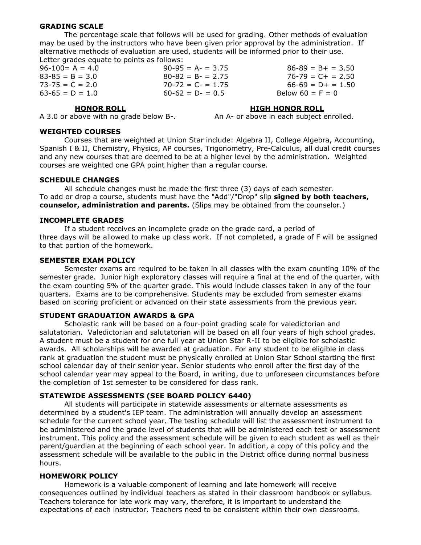### **GRADING SCALE**

The percentage scale that follows will be used for grading. Other methods of evaluation may be used by the instructors who have been given prior approval by the administration. If alternative methods of evaluation are used, students will be informed prior to their use. Letter grades equate to points as follows:

| $96-100 = A = 4.0$  | $90-95 = A - 3.75$   | $86-89 = B + = 3.50$ |
|---------------------|----------------------|----------------------|
| $83 - 85 = B = 3.0$ | $80 - 82 = B - 2.75$ | $76 - 79 = C + 2.50$ |
| $73 - 75 = C = 2.0$ | $70-72 = C - 1.75$   | $66-69 = D+ = 1.50$  |
| $63-65 = D = 1.0$   | $60-62 = D - 0.5$    | Below $60 = F = 0$   |

#### **HONOR ROLL HIGH HONOR ROLL**

A 3.0 or above with no grade below B-. An A- or above in each subject enrolled.

#### **WEIGHTED COURSES**

Courses that are weighted at Union Star include: Algebra II, College Algebra, Accounting, Spanish I & II, Chemistry, Physics, AP courses, Trigonometry, Pre-Calculus, all dual credit courses and any new courses that are deemed to be at a higher level by the administration. Weighted courses are weighted one GPA point higher than a regular course.

#### **SCHEDULE CHANGES**

All schedule changes must be made the first three (3) days of each semester. To add or drop a course, students must have the "Add"/"Drop" slip **signed by both teachers, counselor, administration and parents.** (Slips may be obtained from the counselor.)

### **INCOMPLETE GRADES**

If a student receives an incomplete grade on the grade card, a period of three days will be allowed to make up class work. If not completed, a grade of F will be assigned to that portion of the homework.

#### **SEMESTER EXAM POLICY**

Semester exams are required to be taken in all classes with the exam counting 10% of the semester grade. Junior high exploratory classes will require a final at the end of the quarter, with the exam counting 5% of the quarter grade. This would include classes taken in any of the four quarters. Exams are to be comprehensive. Students may be excluded from semester exams based on scoring proficient or advanced on their state assessments from the previous year.

### **STUDENT GRADUATION AWARDS & GPA**

Scholastic rank will be based on a four-point grading scale for valedictorian and salutatorian. Valedictorian and salutatorian will be based on all four years of high school grades. A student must be a student for one full year at Union Star R-II to be eligible for scholastic awards. All scholarships will be awarded at graduation. For any student to be eligible in class rank at graduation the student must be physically enrolled at Union Star School starting the first school calendar day of their senior year. Senior students who enroll after the first day of the school calendar year may appeal to the Board, in writing, due to unforeseen circumstances before the completion of 1st semester to be considered for class rank.

#### **STATEWIDE ASSESSMENTS (SEE BOARD POLICY 6440)**

All students will participate in statewide assessments or alternate assessments as determined by a student's IEP team. The administration will annually develop an assessment schedule for the current school year. The testing schedule will list the assessment instrument to be administered and the grade level of students that will be administered each test or assessment instrument. This policy and the assessment schedule will be given to each student as well as their parent/guardian at the beginning of each school year. In addition, a copy of this policy and the assessment schedule will be available to the public in the District office during normal business hours.

### **HOMEWORK POLICY**

Homework is a valuable component of learning and late homework will receive consequences outlined by individual teachers as stated in their classroom handbook or syllabus. Teachers tolerance for late work may vary, therefore, it is important to understand the expectations of each instructor. Teachers need to be consistent within their own classrooms.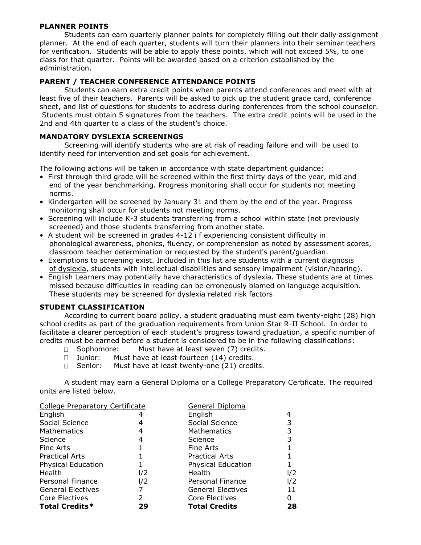# **PLANNER POINTS**

Students can earn quarterly planner points for completely filling out their daily assignment planner. At the end of each quarter, students will turn their planners into their seminar teachers for verification. Students will be able to apply these points, which will not exceed 5%, to one class for that quarter. Points will be awarded based on a criterion established by the administration.

# **PARENT / TEACHER CONFERENCE ATTENDANCE POINTS**

Students can earn extra credit points when parents attend conferences and meet with at least five of their teachers. Parents will be asked to pick up the student grade card, conference sheet, and list of questions for students to address during conferences from the school counselor. Students must obtain 5 signatures from the teachers. The extra credit points will be used in the 2nd and 4th quarter to a class of the student's choice.

# **MANDATORY DYSLEXIA SCREENINGS**

Screening will identify students who are at risk of reading failure and will be used to identify need for intervention and set goals for achievement.

The following actions will be taken in accordance with state department guidance:

- First through third grade will be screened within the first thirty days of the year, mid and end of the year benchmarking. Progress monitoring shall occur for students not meeting norms.
- Kindergarten will be screened by January 31 and them by the end of the year. Progress monitoring shall occur for students not meeting norms.
- Screening will include K-3 students transferring from a school within state (not previously screened) and those students transferring from another state.
- A student will be screened in grades 4-12 i f experiencing consistent difficulty in phonological awareness, phonics, fluency, or comprehension as noted by assessment scores, classroom teacher determination or requested by the student's parent/guardian.
- Exemptions to screening exist. Included in this list are students with a current diagnosis of dyslexia, students with intellectual disabilities and sensory impairment (vision/hearing).
- English Learners may potentially have characteristics of dyslexia. These students are at times missed because difficulties in reading can be erroneously blamed on language acquisition. These students may be screened for dyslexia related risk factors

# **STUDENT CLASSIFICATION**

According to current board policy, a student graduating must earn twenty-eight (28) high school credits as part of the graduation requirements from Union Star R-II School. In order to facilitate a clearer perception of each student's progress toward graduation, a specific number of credits must be earned before a student is considered to be in the following classifications:

- $\Box$  Sophomore: Must have at least seven (7) credits.
- $\Box$ Junior: Must have at least fourteen (14) credits.
- $\Box$  Senior: Must have at least twenty-one (21) credits.

A student may earn a General Diploma or a College Preparatory Certificate. The required units are listed below.

| <b>College Preparatory Certificate</b> |     | <b>General Diploma</b>   |     |
|----------------------------------------|-----|--------------------------|-----|
| English                                |     | English                  |     |
| Social Science                         |     | Social Science           |     |
| Mathematics                            | 4   | <b>Mathematics</b>       |     |
| Science                                | 4   | Science                  |     |
| Fine Arts                              |     | Fine Arts                |     |
| <b>Practical Arts</b>                  |     | <b>Practical Arts</b>    |     |
| <b>Physical Education</b>              |     | Physical Education       |     |
| Health                                 | l/2 | Health                   | l/2 |
| Personal Finance                       | I/2 | Personal Finance         | l/2 |
| <b>General Electives</b>               |     | <b>General Electives</b> | 11  |
| Core Electives                         | 2   | Core Electives           |     |
| <b>Total Credits*</b>                  | 29  | <b>Total Credits</b>     | 28  |
|                                        |     |                          |     |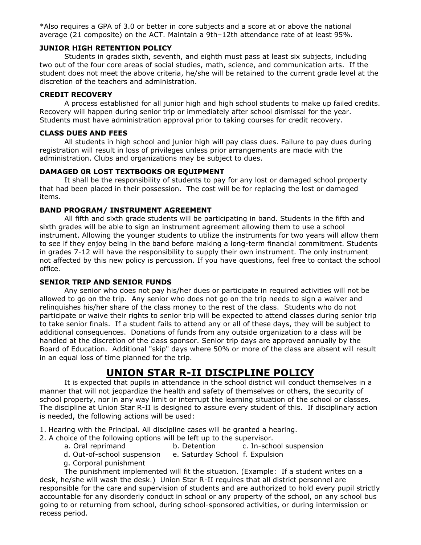\*Also requires a GPA of 3.0 or better in core subjects and a score at or above the national average (21 composite) on the ACT. Maintain a 9th–12th attendance rate of at least 95%.

# **JUNIOR HIGH RETENTION POLICY**

Students in grades sixth, seventh, and eighth must pass at least six subjects, including two out of the four core areas of social studies, math, science, and communication arts. If the student does not meet the above criteria, he/she will be retained to the current grade level at the discretion of the teachers and administration.

# **CREDIT RECOVERY**

A process established for all junior high and high school students to make up failed credits. Recovery will happen during senior trip or immediately after school dismissal for the year. Students must have administration approval prior to taking courses for credit recovery.

### **CLASS DUES AND FEES**

All students in high school and junior high will pay class dues. Failure to pay dues during registration will result in loss of privileges unless prior arrangements are made with the administration. Clubs and organizations may be subject to dues.

# **DAMAGED 0R LOST TEXTBOOKS OR EQUIPMENT**

It shall be the responsibility of students to pay for any lost or damaged school property that had been placed in their possession. The cost will be for replacing the lost or damaged items.

# **BAND PROGRAM/ INSTRUMENT AGREEMENT**

All fifth and sixth grade students will be participating in band. Students in the fifth and sixth grades will be able to sign an instrument agreement allowing them to use a school instrument. Allowing the younger students to utilize the instruments for two years will allow them to see if they enjoy being in the band before making a long-term financial commitment. Students in grades 7-12 will have the responsibility to supply their own instrument. The only instrument not affected by this new policy is percussion. If you have questions, feel free to contact the school office.

# **SENIOR TRIP AND SENIOR FUNDS**

Any senior who does not pay his/her dues or participate in required activities will not be allowed to go on the trip. Any senior who does not go on the trip needs to sign a waiver and relinquishes his/her share of the class money to the rest of the class. Students who do not participate or waive their rights to senior trip will be expected to attend classes during senior trip to take senior finals. If a student fails to attend any or all of these days, they will be subject to additional consequences. Donations of funds from any outside organization to a class will be handled at the discretion of the class sponsor. Senior trip days are approved annually by the Board of Education. Additional "skip" days where 50% or more of the class are absent will result in an equal loss of time planned for the trip.

# **UNION STAR R-II DISCIPLINE POLICY**

It is expected that pupils in attendance in the school district will conduct themselves in a manner that will not jeopardize the health and safety of themselves or others, the security of school property, nor in any way limit or interrupt the learning situation of the school or classes. The discipline at Union Star R-II is designed to assure every student of this. If disciplinary action is needed, the following actions will be used:

- 1. Hearing with the Principal. All discipline cases will be granted a hearing.
- 2. A choice of the following options will be left up to the supervisor.
	- a. Oral reprimand b. Detention c. In-school suspension
	- d. Out-of-school suspension e. Saturday School f. Expulsion
	- g. Corporal punishment

The punishment implemented will fit the situation. (Example: If a student writes on a desk, he/she will wash the desk.) Union Star R-II requires that all district personnel are responsible for the care and supervision of students and are authorized to hold every pupil strictly accountable for any disorderly conduct in school or any property of the school, on any school bus going to or returning from school, during school-sponsored activities, or during intermission or recess period.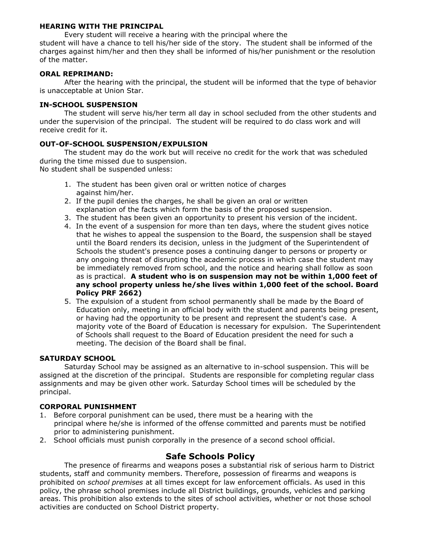# **HEARING WITH THE PRINCIPAL**

Every student will receive a hearing with the principal where the student will have a chance to tell his/her side of the story. The student shall be informed of the charges against him/her and then they shall be informed of his/her punishment or the resolution of the matter.

# **ORAL REPRIMAND:**

After the hearing with the principal, the student will be informed that the type of behavior is unacceptable at Union Star.

# **IN-SCHOOL SUSPENSION**

The student will serve his/her term all day in school secluded from the other students and under the supervision of the principal. The student will be required to do class work and will receive credit for it.

# **OUT-OF-SCHOOL SUSPENSION/EXPULSION**

The student may do the work but will receive no credit for the work that was scheduled during the time missed due to suspension.

No student shall be suspended unless:

- 1. The student has been given oral or written notice of charges against him/her.
- 2. If the pupil denies the charges, he shall be given an oral or written explanation of the facts which form the basis of the proposed suspension.
- 3. The student has been given an opportunity to present his version of the incident.
- 4. In the event of a suspension for more than ten days, where the student gives notice that he wishes to appeal the suspension to the Board, the suspension shall be stayed until the Board renders its decision, unless in the judgment of the Superintendent of Schools the student's presence poses a continuing danger to persons or property or any ongoing threat of disrupting the academic process in which case the student may be immediately removed from school, and the notice and hearing shall follow as soon as is practical. **A student who is on suspension may not be within 1,000 feet of any school property unless he/she lives within 1,000 feet of the school. Board Policy PRF 2662)**
- 5. The expulsion of a student from school permanently shall be made by the Board of Education only, meeting in an official body with the student and parents being present, or having had the opportunity to be present and represent the student's case. A majority vote of the Board of Education is necessary for expulsion. The Superintendent of Schools shall request to the Board of Education president the need for such a meeting. The decision of the Board shall be final.

# **SATURDAY SCHOOL**

Saturday School may be assigned as an alternative to in-school suspension. This will be assigned at the discretion of the principal. Students are responsible for completing regular class assignments and may be given other work. Saturday School times will be scheduled by the principal.

# **CORPORAL PUNISHMENT**

- 1. Before corporal punishment can be used, there must be a hearing with the principal where he/she is informed of the offense committed and parents must be notified prior to administering punishment.
- 2. School officials must punish corporally in the presence of a second school official.

# **Safe Schools Policy**

The presence of firearms and weapons poses a substantial risk of serious harm to District students, staff and community members. Therefore, possession of firearms and weapons is prohibited on *school premises* at all times except for law enforcement officials. As used in this policy, the phrase school premises include all District buildings, grounds, vehicles and parking areas. This prohibition also extends to the sites of school activities, whether or not those school activities are conducted on School District property.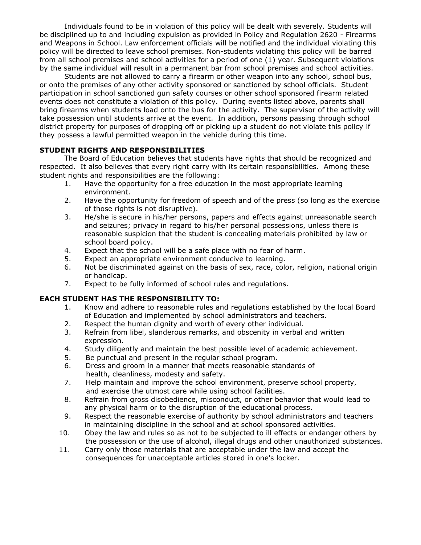Individuals found to be in violation of this policy will be dealt with severely. Students will be disciplined up to and including expulsion as provided in Policy and Regulation 2620 - Firearms and Weapons in School. Law enforcement officials will be notified and the individual violating this policy will be directed to leave school premises. Non-students violating this policy will be barred from all school premises and school activities for a period of one (1) year. Subsequent violations by the same individual will result in a permanent bar from school premises and school activities.

Students are not allowed to carry a firearm or other weapon into any school, school bus, or onto the premises of any other activity sponsored or sanctioned by school officials. Student participation in school sanctioned gun safety courses or other school sponsored firearm related events does not constitute a violation of this policy. During events listed above, parents shall bring firearms when students load onto the bus for the activity. The supervisor of the activity will take possession until students arrive at the event. In addition, persons passing through school district property for purposes of dropping off or picking up a student do not violate this policy if they possess a lawful permitted weapon in the vehicle during this time.

# **STUDENT RIGHTS AND RESPONSIBILITIES**

The Board of Education believes that students have rights that should be recognized and respected. It also believes that every right carry with its certain responsibilities. Among these student rights and responsibilities are the following:

- 1. Have the opportunity for a free education in the most appropriate learning environment.
- 2. Have the opportunity for freedom of speech and of the press (so long as the exercise of those rights is not disruptive).
- 3. He/she is secure in his/her persons, papers and effects against unreasonable search and seizures; privacy in regard to his/her personal possessions, unless there is reasonable suspicion that the student is concealing materials prohibited by law or school board policy.
- 4. Expect that the school will be a safe place with no fear of harm.
- 5. Expect an appropriate environment conducive to learning.
- 6. Not be discriminated against on the basis of sex, race, color, religion, national origin or handicap.
- 7. Expect to be fully informed of school rules and regulations.

# **EACH STUDENT HAS THE RESPONSIBILITY TO:**

- 1. Know and adhere to reasonable rules and regulations established by the local Board of Education and implemented by school administrators and teachers.
- 2. Respect the human dignity and worth of every other individual.
- 3. Refrain from libel, slanderous remarks, and obscenity in verbal and written expression.
- 4. Study diligently and maintain the best possible level of academic achievement.
- 5. Be punctual and present in the regular school program.
- 6. Dress and groom in a manner that meets reasonable standards of health, cleanliness, modesty and safety.
- 7. Help maintain and improve the school environment, preserve school property, and exercise the utmost care while using school facilities.
- 8. Refrain from gross disobedience, misconduct, or other behavior that would lead to any physical harm or to the disruption of the educational process.
- 9. Respect the reasonable exercise of authority by school administrators and teachers in maintaining discipline in the school and at school sponsored activities.
- 10. Obey the law and rules so as not to be subjected to ill effects or endanger others by the possession or the use of alcohol, illegal drugs and other unauthorized substances.
- 11. Carry only those materials that are acceptable under the law and accept the consequences for unacceptable articles stored in one's locker.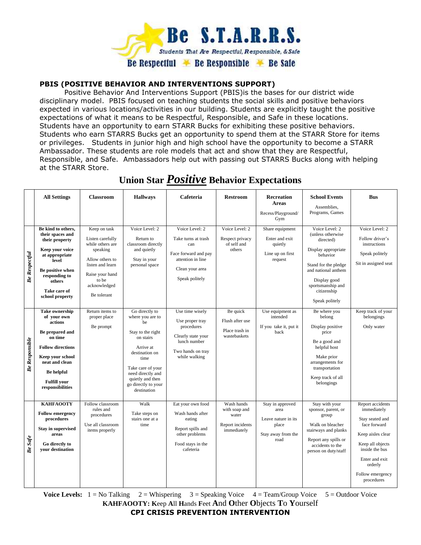

# **PBIS (POSITIVE BEHAVIOR AND INTERVENTIONS SUPPORT)**

Positive Behavior And Interventions Support (PBIS)is the bases for our district wide disciplinary model. PBIS focused on teaching students the social skills and positive behaviors expected in various locations/activities in our building. Students are explicitly taught the positive expectations of what it means to be Respectful, Responsible, and Safe in these locations. Students have an opportunity to earn STARR Bucks for exhibiting these positive behaviors. Students who earn STARRS Bucks get an opportunity to spend them at the STARR Store for items or privileges. Students in junior high and high school have the opportunity to become a STARR Ambassador. These students are role models that act and show that they are Respectful, Responsible, and Safe. Ambassadors help out with passing out STARRS Bucks along with helping at the STARR Store.

|                       | <b>All Settings</b>                                                                                                                                                                                      | <b>Classroom</b>                                                                                                                                                   | <b>Hallways</b>                                                                                                                                                                                                       | Cafeteria                                                                                                                      | <b>Restroom</b>                                                         | <b>Recreation</b><br><b>Areas</b><br>Recess/Playground/<br>Gym                          | <b>School Events</b><br>Assemblies,<br>Programs, Games                                                                                                                                                   | <b>Bus</b>                                                                                                                                                                                   |
|-----------------------|----------------------------------------------------------------------------------------------------------------------------------------------------------------------------------------------------------|--------------------------------------------------------------------------------------------------------------------------------------------------------------------|-----------------------------------------------------------------------------------------------------------------------------------------------------------------------------------------------------------------------|--------------------------------------------------------------------------------------------------------------------------------|-------------------------------------------------------------------------|-----------------------------------------------------------------------------------------|----------------------------------------------------------------------------------------------------------------------------------------------------------------------------------------------------------|----------------------------------------------------------------------------------------------------------------------------------------------------------------------------------------------|
| <b>Be Respectful</b>  | Be kind to others,<br>their spaces and<br>their property<br>Keep your voice<br>at appropriate<br>level<br>Be positive when<br>responding to<br>others<br>Take care of<br>school property                 | Keep on task<br>Listen carefully<br>while others are<br>speaking<br>Allow others to<br>listen and learn<br>Raise your hand<br>to be<br>acknowledged<br>Be tolerant | Voice Level: 2<br>Return to<br>classroom directly<br>and quietly<br>Stay in your<br>personal space                                                                                                                    | Voice Level: 2<br>Take turns at trash<br>can<br>Face forward and pay<br>attention in line<br>Clean your area<br>Speak politely | Voice Level: 2<br>Respect privacy<br>of self and<br>others              | Share equipment<br>Enter and exit<br>quietly<br>Line up on first<br>request             | Voice Level: 2<br>(unless otherwise<br>directed)<br>Display appropriate<br>behavior<br>Stand for the pledge<br>and national anthem<br>Display good<br>sportsmanship and<br>citizenship<br>Speak politely | Voice Level: 2<br>Follow driver's<br>instructions<br>Speak politely<br>Sit in assigned seat                                                                                                  |
| <b>Be Responsible</b> | <b>Take ownership</b><br>of your own<br>actions<br>Be prepared and<br>on time<br><b>Follow directions</b><br>Keep your school<br>neat and clean<br>Be helpful<br><b>Fulfill your</b><br>responsibilities | Return items to<br>proper place<br>Be prompt                                                                                                                       | Go directly to<br>where you are to<br>he<br>Stay to the right<br>on stairs<br>Arrive at<br>destination on<br>time<br>Take care of your<br>need directly and<br>quietly and then<br>go directly to your<br>destination | Use time wisely<br>Use proper tray<br>procedures<br>Clearly state your<br>lunch number<br>Two hands on tray<br>while walking   | Be quick<br>Flush after use<br>Place trash in<br>wastebaskets           | Use equipment as<br>intended<br>If you take it, put it<br>back                          | Be where you<br>belong<br>Display positive<br>price<br>Be a good and<br>helpful host<br>Make prior<br>arrangements for<br>transportation<br>Keep track of all<br>belongings                              | Keep track of your<br>belongings<br>Only water                                                                                                                                               |
| Be Safe               | <b>KAHFAOOTY</b><br><b>Follow emergency</b><br>procedures<br><b>Stay in supervised</b><br>areas<br>Go directly to<br>your destination                                                                    | Follow classroom<br>rules and<br>procedures<br>Use all classroom<br>items properly                                                                                 | Walk<br>Take steps on<br>stairs one at a<br>time                                                                                                                                                                      | Eat your own food<br>Wash hands after<br>eating<br>Report spills and<br>other problems<br>Food stays in the<br>cafeteria       | Wash hands<br>with soap and<br>water<br>Report incidents<br>immediately | Stay in approved<br>area<br>Leave nature in its.<br>place<br>Stay away from the<br>road | Stay with your<br>sponsor, parent, or<br>group<br>Walk on bleacher<br>stairways and planks<br>Report any spills or<br>accidents to the<br>person on duty/staff                                           | Report accidents<br>immediately<br>Stay seated and<br>face forward<br>Keep aisles clear<br>Keep all objects<br>inside the bus<br>Enter and exit<br>orderly<br>Follow emergency<br>procedures |

# **Union Star** *Positive* **Behavior Expectations**

**Voice Levels:**  $1 = No$  Talking  $2 = Whispering$   $3 = Speaking$  Voice  $4 = Team/Group$  Voice  $5 = Outdoor$  Voice **KAHFAOOTY: K**eep **A**ll **H**ands **F**eet **A**nd **O**ther **O**bjects **T**o **Y**ourself **CPI CRISIS PREVENTION INTERVENTION**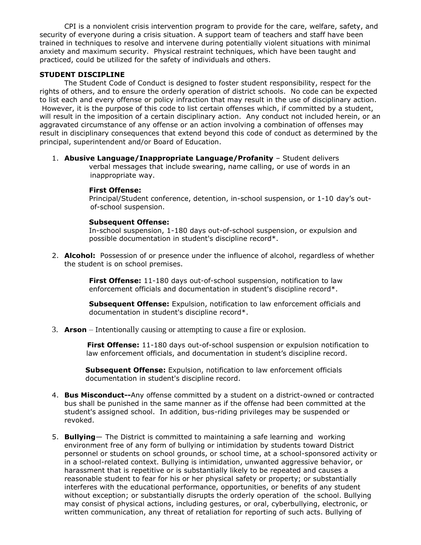CPI is a nonviolent crisis intervention program to provide for the care, welfare, safety, and security of everyone during a crisis situation. A support team of teachers and staff have been trained in techniques to resolve and intervene during potentially violent situations with minimal anxiety and maximum security. Physical restraint techniques, which have been taught and practiced, could be utilized for the safety of individuals and others.

# **STUDENT DISCIPLINE**

The Student Code of Conduct is designed to foster student responsibility, respect for the rights of others, and to ensure the orderly operation of district schools. No code can be expected to list each and every offense or policy infraction that may result in the use of disciplinary action. However, it is the purpose of this code to list certain offenses which, if committed by a student, will result in the imposition of a certain disciplinary action. Any conduct not included herein, or an aggravated circumstance of any offense or an action involving a combination of offenses may result in disciplinary consequences that extend beyond this code of conduct as determined by the principal, superintendent and/or Board of Education.

1. **Abusive Language/Inappropriate Language/Profanity** – Student delivers verbal messages that include swearing, name calling, or use of words in an inappropriate way.

### **First Offense:**

Principal/Student conference, detention, in-school suspension, or 1-10 day's out of-school suspension.

#### **Subsequent Offense:**

In-school suspension, 1-180 days out-of-school suspension, or expulsion and possible documentation in student's discipline record\*.

2. **Alcohol:** Possession of or presence under the influence of alcohol, regardless of whether the student is on school premises.

> **First Offense:** 11-180 days out-of-school suspension, notification to law enforcement officials and documentation in student's discipline record\*.

**Subsequent Offense:** Expulsion, notification to law enforcement officials and documentation in student's discipline record\*.

3. **Arson** – Intentionally causing or attempting to cause a fire or explosion.

 **First Offense:** 11-180 days out-of-school suspension or expulsion notification to law enforcement officials, and documentation in student's discipline record.

 **Subsequent Offense:** Expulsion, notification to law enforcement officials documentation in student's discipline record.

- 4. **Bus Misconduct--**Any offense committed by a student on a district-owned or contracted bus shall be punished in the same manner as if the offense had been committed at the student's assigned school. In addition, bus-riding privileges may be suspended or revoked.
- 5. **Bullying** The District is committed to maintaining a safe learning and working environment free of any form of bullying or intimidation by students toward District personnel or students on school grounds, or school time, at a school-sponsored activity or in a school-related context. Bullying is intimidation, unwanted aggressive behavior, or harassment that is repetitive or is substantially likely to be repeated and causes a reasonable student to fear for his or her physical safety or property; or substantially interferes with the educational performance, opportunities, or benefits of any student without exception; or substantially disrupts the orderly operation of the school. Bullying may consist of physical actions, including gestures, or oral, cyberbullying, electronic, or written communication, any threat of retaliation for reporting of such acts. Bullying of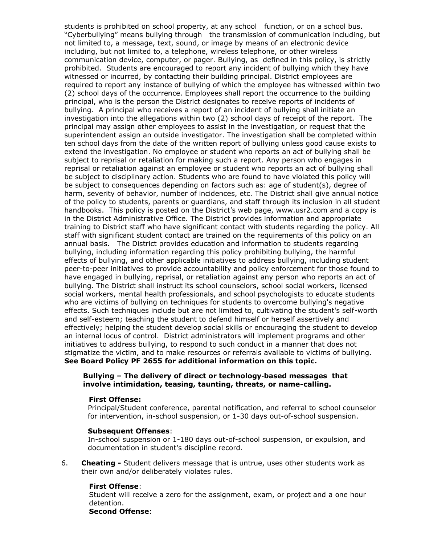students is prohibited on school property, at any school function, or on a school bus. "Cyberbullying" means bullying through the transmission of communication including, but not limited to, a message, text, sound, or image by means of an electronic device including, but not limited to, a telephone, wireless telephone, or other wireless communication device, computer, or pager. Bullying, as defined in this policy, is strictly prohibited. Students are encouraged to report any incident of bullying which they have witnessed or incurred, by contacting their building principal. District employees are required to report any instance of bullying of which the employee has witnessed within two (2) school days of the occurrence. Employees shall report the occurrence to the building principal, who is the person the District designates to receive reports of incidents of bullying. A principal who receives a report of an incident of bullying shall initiate an investigation into the allegations within two (2) school days of receipt of the report. The principal may assign other employees to assist in the investigation, or request that the superintendent assign an outside investigator. The investigation shall be completed within ten school days from the date of the written report of bullying unless good cause exists to extend the investigation. No employee or student who reports an act of bullying shall be subject to reprisal or retaliation for making such a report. Any person who engages in reprisal or retaliation against an employee or student who reports an act of bullying shall be subject to disciplinary action. Students who are found to have violated this policy will be subject to consequences depending on factors such as: age of student(s), degree of harm, severity of behavior, number of incidences, etc. The District shall give annual notice of the policy to students, parents or guardians, and staff through its inclusion in all student handbooks. This policy is posted on the District's web page, www.usr2.com and a copy is in the District Administrative Office. The District provides information and appropriate training to District staff who have significant contact with students regarding the policy. All staff with significant student contact are trained on the requirements of this policy on an annual basis. The District provides education and information to students regarding bullying, including information regarding this policy prohibiting bullying, the harmful effects of bullying, and other applicable initiatives to address bullying, including student peer-to-peer initiatives to provide accountability and policy enforcement for those found to have engaged in bullying, reprisal, or retaliation against any person who reports an act of bullying. The District shall instruct its school counselors, school social workers, licensed social workers, mental health professionals, and school psychologists to educate students who are victims of bullying on techniques for students to overcome bullying's negative effects. Such techniques include but are not limited to, cultivating the student's self-worth and self-esteem; teaching the student to defend himself or herself assertively and effectively; helping the student develop social skills or encouraging the student to develop an internal locus of control. District administrators will implement programs and other initiatives to address bullying, to respond to such conduct in a manner that does not stigmatize the victim, and to make resources or referrals available to victims of bullying. **See Board Policy PF 2655 for additional information on this topic.**

#### **Bullying – The delivery of direct or technology**‐**based messages that involve intimidation, teasing, taunting, threats, or name-calling.**

#### **First Offense:**

 Principal/Student conference, parental notification, and referral to school counselor for intervention, in-school suspension, or 1-30 days out-of-school suspension.

#### **Subsequent Offenses**:

 In-school suspension or 1-180 days out-of-school suspension, or expulsion, and documentation in student's discipline record.

6. **Cheating -** Student delivers message that is untrue, uses other students work as their own and/or deliberately violates rules.

#### **First Offense**:

Student will receive a zero for the assignment, exam, or project and a one hour detention.

**Second Offense**: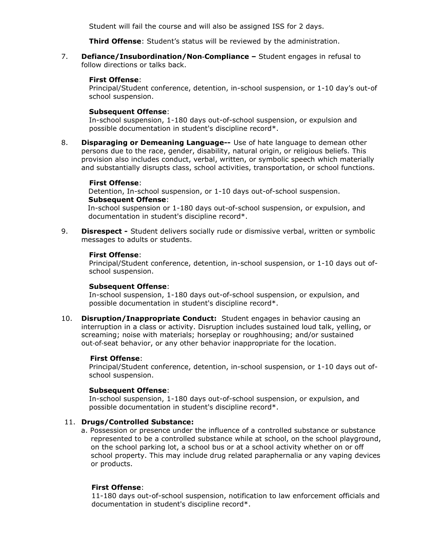Student will fail the course and will also be assigned ISS for 2 days.

**Third Offense**: Student's status will be reviewed by the administration.

7. **Defiance/Insubordination/Non-Compliance -** Student engages in refusal to follow directions or talks back.

### **First Offense**:

Principal/Student conference, detention, in-school suspension, or 1-10 day's out-of school suspension.

### **Subsequent Offense**:

In-school suspension, 1-180 days out-of-school suspension, or expulsion and possible documentation in student's discipline record\*.

8. **Disparaging or Demeaning Language--** Use of hate language to demean other persons due to the race, gender, disability, natural origin, or religious beliefs. This provision also includes conduct, verbal, written, or symbolic speech which materially and substantially disrupts class, school activities, transportation, or school functions.

### **First Offense**:

 Detention, In-school suspension, or 1-10 days out-of-school suspension. **Subsequent Offense**:

In-school suspension or 1-180 days out-of-school suspension, or expulsion, and documentation in student's discipline record\*.

9. **Disrespect -** Student delivers socially rude or dismissive verbal, written or symbolic messages to adults or students.

### **First Offense**:

Principal/Student conference, detention, in-school suspension, or 1-10 days out ofschool suspension.

#### **Subsequent Offense**:

In-school suspension, 1-180 days out-of-school suspension, or expulsion, and possible documentation in student's discipline record\*.

10. **Disruption/Inappropriate Conduct:** Student engages in behavior causing an interruption in a class or activity. Disruption includes sustained loud talk, yelling, or screaming; noise with materials; horseplay or roughhousing; and/or sustained out‐of‐seat behavior, or any other behavior inappropriate for the location.

#### **First Offense**:

Principal/Student conference, detention, in-school suspension, or 1-10 days out ofschool suspension.

#### **Subsequent Offense**:

In-school suspension, 1-180 days out-of-school suspension, or expulsion, and possible documentation in student's discipline record\*.

#### 11. **Drugs/Controlled Substance:**

 a. Possession or presence under the influence of a controlled substance or substance represented to be a controlled substance while at school, on the school playground, on the school parking lot, a school bus or at a school activity whether on or off school property. This may include drug related paraphernalia or any vaping devices or products.

# **First Offense**:

11-180 days out-of-school suspension, notification to law enforcement officials and documentation in student's discipline record\*.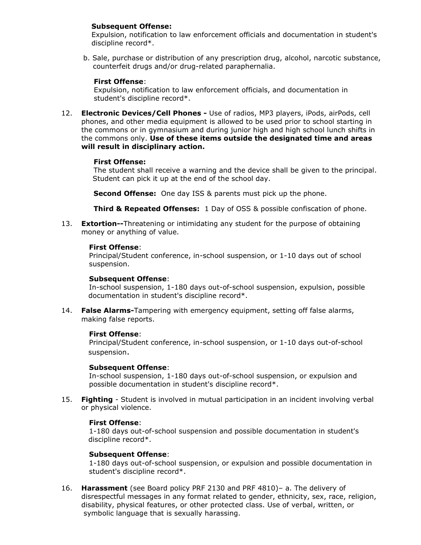# **Subsequent Offense:**

Expulsion, notification to law enforcement officials and documentation in student's discipline record\*.

 b. Sale, purchase or distribution of any prescription drug, alcohol, narcotic substance, counterfeit drugs and/or drug-related paraphernalia.

### **First Offense**:

 Expulsion, notification to law enforcement officials, and documentation in student's discipline record\*.

12. **Electronic Devices/Cell Phones -** Use of radios, MP3 players, iPods, airPods, cell phones, and other media equipment is allowed to be used prior to school starting in the commons or in gymnasium and during junior high and high school lunch shifts in the commons only. **Use of these items outside the designated time and areas will result in disciplinary action.**

### **First Offense:**

The student shall receive a warning and the device shall be given to the principal. Student can pick it up at the end of the school day.

 **Second Offense:** One day ISS & parents must pick up the phone.

 **Third & Repeated Offenses:** 1 Day of OSS & possible confiscation of phone.

13. **Extortion--**Threatening or intimidating any student for the purpose of obtaining money or anything of value.

### **First Offense**:

Principal/Student conference, in-school suspension, or 1-10 days out of school suspension.

#### **Subsequent Offense**:

In-school suspension, 1-180 days out-of-school suspension, expulsion, possible documentation in student's discipline record\*.

14. **False Alarms-**Tampering with emergency equipment, setting off false alarms, making false reports.

#### **First Offense**:

Principal/Student conference, in-school suspension, or 1-10 days out-of-school suspension.

### **Subsequent Offense**:

In-school suspension, 1-180 days out-of-school suspension, or expulsion and possible documentation in student's discipline record\*.

15. **Fighting** - Student is involved in mutual participation in an incident involving verbal or physical violence.

#### **First Offense**:

1-180 days out-of-school suspension and possible documentation in student's discipline record\*.

### **Subsequent Offense**:

1-180 days out-of-school suspension, or expulsion and possible documentation in student's discipline record\*.

16. **Harassment** (see Board policy PRF 2130 and PRF 4810)– a. The delivery of disrespectful messages in any format related to gender, ethnicity, sex, race, religion, disability, physical features, or other protected class. Use of verbal, written, or symbolic language that is sexually harassing.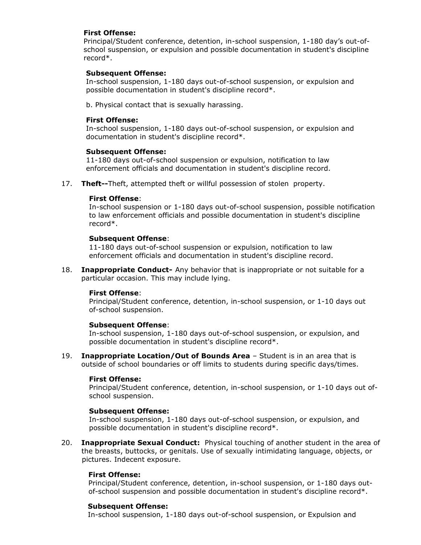# **First Offense:**

 Principal/Student conference, detention, in-school suspension, 1-180 day's out-of school suspension, or expulsion and possible documentation in student's discipline record\*.

### **Subsequent Offense:**

 In-school suspension, 1-180 days out-of-school suspension, or expulsion and possible documentation in student's discipline record\*.

b. Physical contact that is sexually harassing.

### **First Offense:**

 In-school suspension, 1-180 days out-of-school suspension, or expulsion and documentation in student's discipline record\*.

### **Subsequent Offense:**

 11-180 days out-of-school suspension or expulsion, notification to law enforcement officials and documentation in student's discipline record.

17. **Theft--**Theft, attempted theft or willful possession of stolen property.

### **First Offense**:

In-school suspension or 1-180 days out-of-school suspension, possible notification to law enforcement officials and possible documentation in student's discipline record\*.

### **Subsequent Offense**:

11-180 days out-of-school suspension or expulsion, notification to law enforcement officials and documentation in student's discipline record.

18. **Inappropriate Conduct-** Any behavior that is inappropriate or not suitable for a particular occasion. This may include lying.

#### **First Offense**:

Principal/Student conference, detention, in-school suspension, or 1-10 days out of-school suspension.

#### **Subsequent Offense**:

In-school suspension, 1-180 days out-of-school suspension, or expulsion, and possible documentation in student's discipline record\*.

19. **Inappropriate Location/Out of Bounds Area** – Student is in an area that is outside of school boundaries or off limits to students during specific days/times.

#### **First Offense:**

Principal/Student conference, detention, in-school suspension, or 1-10 days out ofschool suspension.

# **Subsequent Offense:**

In-school suspension, 1-180 days out-of-school suspension, or expulsion, and possible documentation in student's discipline record\*.

20. **Inappropriate Sexual Conduct:** Physical touching of another student in the area of the breasts, buttocks, or genitals. Use of sexually intimidating language, objects, or pictures. Indecent exposure.

# **First Offense:**

 Principal/Student conference, detention, in-school suspension, or 1-180 days out of-school suspension and possible documentation in student's discipline record\*.

#### **Subsequent Offense:**

In-school suspension, 1-180 days out-of-school suspension, or Expulsion and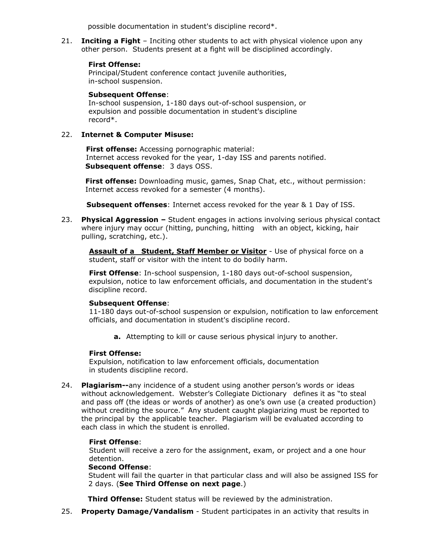possible documentation in student's discipline record\*.

21. **Inciting a Fight** – Inciting other students to act with physical violence upon any other person. Students present at a fight will be disciplined accordingly.

# **First Offense:**

 Principal/Student conference contact juvenile authorities, in-school suspension.

### **Subsequent Offense**:

 In-school suspension, 1-180 days out-of-school suspension, or expulsion and possible documentation in student's discipline record\*.

### 22. **Internet & Computer Misuse:**

 **First offense:** Accessing pornographic material: Internet access revoked for the year, 1-day ISS and parents notified. **Subsequent offense**: 3 days OSS.

 **First offense:** Downloading music, games, Snap Chat, etc., without permission: Internet access revoked for a semester (4 months).

 **Subsequent offenses**: Internet access revoked for the year & 1 Day of ISS.

23. **Physical Aggression –** Student engages in actions involving serious physical contact where injury may occur (hitting, punching, hitting with an object, kicking, hair pulling, scratching, etc.).

**Assault of a Student, Staff Member or Visitor** - Use of physical force on a student, staff or visitor with the intent to do bodily harm.

**First Offense**: In-school suspension, 1-180 days out-of-school suspension, expulsion, notice to law enforcement officials, and documentation in the student's discipline record.

# **Subsequent Offense**:

11-180 days out-of-school suspension or expulsion, notification to law enforcement officials, and documentation in student's discipline record.

**a.** Attempting to kill or cause serious physical injury to another.

# **First Offense:**

Expulsion, notification to law enforcement officials, documentation in students discipline record.

24. **Plagiarism--**any incidence of a student using another person's words or ideas without acknowledgement. Webster's Collegiate Dictionary defines it as "to steal and pass off (the ideas or words of another) as one's own use (a created production) without crediting the source." Any student caught plagiarizing must be reported to the principal by the applicable teacher. Plagiarism will be evaluated according to each class in which the student is enrolled.

# **First Offense**:

Student will receive a zero for the assignment, exam, or project and a one hour detention.

#### **Second Offense**:

 Student will fail the quarter in that particular class and will also be assigned ISS for 2 days. (**See Third Offense on next page**.)

**Third Offense:** Student status will be reviewed by the administration.

25. **Property Damage/Vandalism** - Student participates in an activity that results in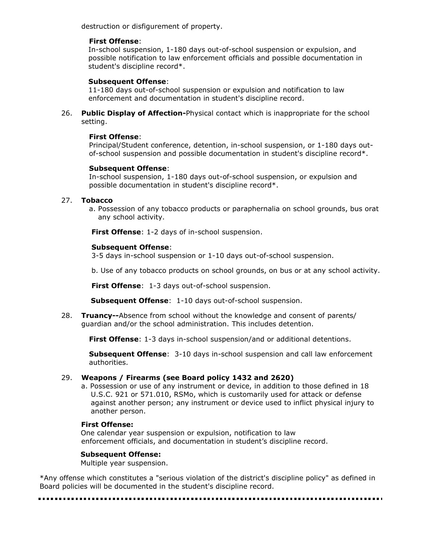destruction or disfigurement of property.

# **First Offense**:

 In-school suspension, 1-180 days out-of-school suspension or expulsion, and possible notification to law enforcement officials and possible documentation in student's discipline record\*.

# **Subsequent Offense**:

 11-180 days out-of-school suspension or expulsion and notification to law enforcement and documentation in student's discipline record.

26. **Public Display of Affection-**Physical contact which is inappropriate for the school setting.

# **First Offense**:

Principal/Student conference, detention, in-school suspension, or 1-180 days outof-school suspension and possible documentation in student's discipline record\*.

# **Subsequent Offense**:

In-school suspension, 1-180 days out-of-school suspension, or expulsion and possible documentation in student's discipline record\*.

# 27. **Tobacco**

a. Possession of any tobacco products or paraphernalia on school grounds, bus orat any school activity.

**First Offense**: 1-2 days of in-school suspension.

# **Subsequent Offense**:

3-5 days in-school suspension or 1-10 days out-of-school suspension.

b. Use of any tobacco products on school grounds, on bus or at any school activity.

**First Offense**: 1-3 days out-of-school suspension.

**Subsequent Offense**: 1-10 days out-of-school suspension.

28. **Truancy--**Absence from school without the knowledge and consent of parents/ guardian and/or the school administration. This includes detention.

**First Offense**: 1-3 days in-school suspension/and or additional detentions.

**Subsequent Offense**: 3-10 days in-school suspension and call law enforcement authorities.

# 29. **Weapons / Firearms (see Board policy 1432 and 2620)**

 a. Possession or use of any instrument or device, in addition to those defined in 18 U.S.C. 921 or 571.010, RSMo, which is customarily used for attack or defense against another person; any instrument or device used to inflict physical injury to another person.

# **First Offense:**

One calendar year suspension or expulsion, notification to law enforcement officials, and documentation in student's discipline record.

# **Subsequent Offense:**

Multiple year suspension.

\*Any offense which constitutes a "serious violation of the district's discipline policy" as defined in Board policies will be documented in the student's discipline record.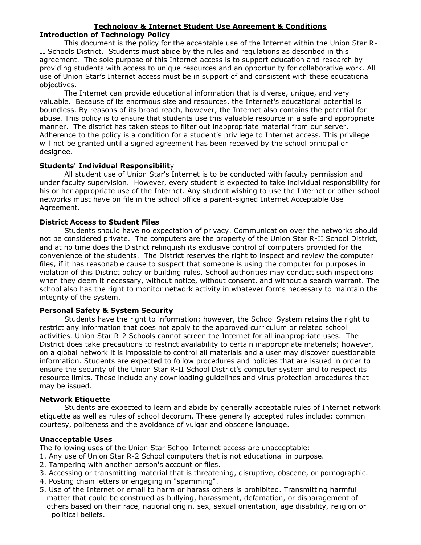### **Technology & Internet Student Use Agreement & Conditions Introduction of Technology Policy**

This document is the policy for the acceptable use of the Internet within the Union Star R-II Schools District. Students must abide by the rules and regulations as described in this agreement. The sole purpose of this Internet access is to support education and research by providing students with access to unique resources and an opportunity for collaborative work. All use of Union Star's Internet access must be in support of and consistent with these educational objectives.

The Internet can provide educational information that is diverse, unique, and very valuable. Because of its enormous size and resources, the Internet's educational potential is boundless. By reasons of its broad reach, however, the Internet also contains the potential for abuse. This policy is to ensure that students use this valuable resource in a safe and appropriate manner. The district has taken steps to filter out inappropriate material from our server. Adherence to the policy is a condition for a student's privilege to Internet access. This privilege will not be granted until a signed agreement has been received by the school principal or designee.

# **Students' Individual Responsibilit**y

All student use of Union Star's Internet is to be conducted with faculty permission and under faculty supervision. However, every student is expected to take individual responsibility for his or her appropriate use of the Internet. Any student wishing to use the Internet or other school networks must have on file in the school office a parent-signed Internet Acceptable Use Agreement.

# **District Access to Student Files**

Students should have no expectation of privacy. Communication over the networks should not be considered private. The computers are the property of the Union Star R-II School District, and at no time does the District relinquish its exclusive control of computers provided for the convenience of the students. The District reserves the right to inspect and review the computer files, if it has reasonable cause to suspect that someone is using the computer for purposes in violation of this District policy or building rules. School authorities may conduct such inspections when they deem it necessary, without notice, without consent, and without a search warrant. The school also has the right to monitor network activity in whatever forms necessary to maintain the integrity of the system.

# **Personal Safety & System Security**

Students have the right to information; however, the School System retains the right to restrict any information that does not apply to the approved curriculum or related school activities. Union Star R-2 Schools cannot screen the Internet for all inappropriate uses. The District does take precautions to restrict availability to certain inappropriate materials; however, on a global network it is impossible to control all materials and a user may discover questionable information. Students are expected to follow procedures and policies that are issued in order to ensure the security of the Union Star R-II School District's computer system and to respect its resource limits. These include any downloading guidelines and virus protection procedures that may be issued.

# **Network Etiquette**

Students are expected to learn and abide by generally acceptable rules of Internet network etiquette as well as rules of school decorum. These generally accepted rules include; common courtesy, politeness and the avoidance of vulgar and obscene language.

# **Unacceptable Uses**

The following uses of the Union Star School Internet access are unacceptable:

- 1. Any use of Union Star R-2 School computers that is not educational in purpose.
- 2. Tampering with another person's account or files.
- 3. Accessing or transmitting material that is threatening, disruptive, obscene, or pornographic.
- 4. Posting chain letters or engaging in "spamming".
- 5. Use of the Internet or email to harm or harass others is prohibited. Transmitting harmful matter that could be construed as bullying, harassment, defamation, or disparagement of others based on their race, national origin, sex, sexual orientation, age disability, religion or political beliefs.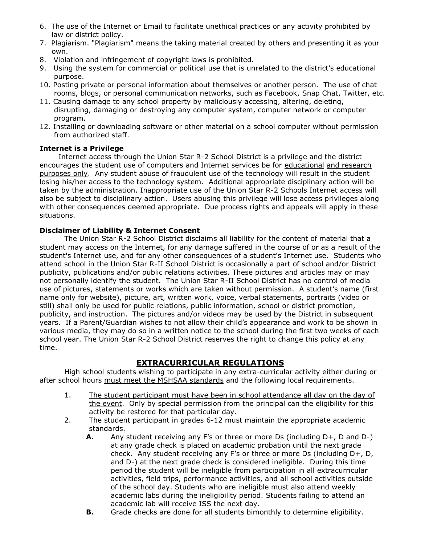- 6. The use of the Internet or Email to facilitate unethical practices or any activity prohibited by law or district policy.
- 7. Plagiarism. "Plagiarism" means the taking material created by others and presenting it as your own.
- 8. Violation and infringement of copyright laws is prohibited.
- 9. Using the system for commercial or political use that is unrelated to the district's educational purpose.
- 10. Posting private or personal information about themselves or another person. The use of chat rooms, blogs, or personal communication networks, such as Facebook, Snap Chat, Twitter, etc.
- 11. Causing damage to any school property by maliciously accessing, altering, deleting, disrupting, damaging or destroying any computer system, computer network or computer program.
- 12. Installing or downloading software or other material on a school computer without permission from authorized staff.

# **Internet is a Privilege**

 Internet access through the Union Star R-2 School District is a privilege and the district encourages the student use of computers and Internet services be for educational and research purposes only. Any student abuse of fraudulent use of the technology will result in the student losing his/her access to the technology system. Additional appropriate disciplinary action will be taken by the administration. Inappropriate use of the Union Star R-2 Schools Internet access will also be subject to disciplinary action. Users abusing this privilege will lose access privileges along with other consequences deemed appropriate. Due process rights and appeals will apply in these situations.

# **Disclaimer of Liability & Internet Consent**

The Union Star R-2 School District disclaims all liability for the content of material that a student may access on the Internet, for any damage suffered in the course of or as a result of the student's Internet use, and for any other consequences of a student's Internet use.Students who attend school in the Union Star R-II School District is occasionally a part of school and/or District publicity, publications and/or public relations activities. These pictures and articles may or may not personally identify the student. The Union Star R-II School District has no control of media use of pictures, statements or works which are taken without permission. A student's name (first name only for website), picture, art, written work, voice, verbal statements, portraits (video or still) shall only be used for public relations, public information, school or district promotion, publicity, and instruction. The pictures and/or videos may be used by the District in subsequent years. If a Parent/Guardian wishes to not allow their child's appearance and work to be shown in various media, they may do so in a written notice to the school during the first two weeks of each school year. The Union Star R-2 School District reserves the right to change this policy at any time.

# **EXTRACURRICULAR REGULATIONS**

High school students wishing to participate in any extra-curricular activity either during or after school hours must meet the MSHSAA standards and the following local requirements.

- 1. The student participant must have been in school attendance all day on the day of the event. Only by special permission from the principal can the eligibility for this activity be restored for that particular day.
- 2. The student participant in grades 6-12 must maintain the appropriate academic standards.
	- **A.** Any student receiving any F's or three or more Ds (including D+, D and D-) at any grade check is placed on academic probation until the next grade check. Any student receiving any F's or three or more Ds (including D+, D, and D-) at the next grade check is considered ineligible. During this time period the student will be ineligible from participation in all extracurricular activities, field trips, performance activities, and all school activities outside of the school day. Students who are ineligible must also attend weekly academic labs during the ineligibility period. Students failing to attend an academic lab will receive ISS the next day.
	- **B.** Grade checks are done for all students bimonthly to determine eligibility.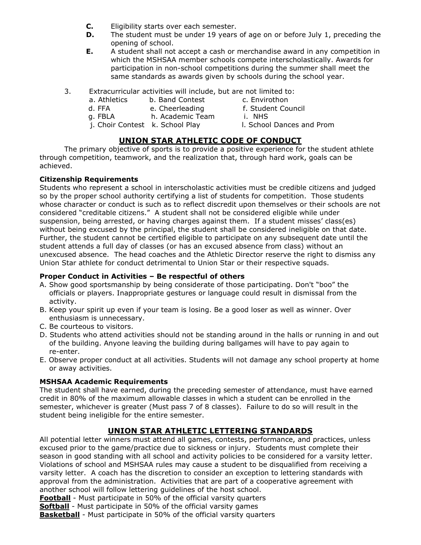- **C.** Eligibility starts over each semester.
- **D.** The student must be under 19 years of age on or before July 1, preceding the opening of school.
- **E.** A student shall not accept a cash or merchandise award in any competition in which the MSHSAA member schools compete interscholastically. Awards for participation in non-school competitions during the summer shall meet the same standards as awards given by schools during the school year.
- 3. Extracurricular activities will include, but are not limited to:
	- a. Athletics b. Band Contest c. Envirothon
- - d. FFA e. Cheerleading f. Student Council
	- g. FBLA h. Academic Team i. NHS
		-
	- j. Choir Contest k. School Play l. School Dances and Prom

# **UNION STAR ATHLETIC CODE OF CONDUCT**

The primary objective of sports is to provide a positive experience for the student athlete through competition, teamwork, and the realization that, through hard work, goals can be achieved.

# **Citizenship Requirements**

Students who represent a school in interscholastic activities must be credible citizens and judged so by the proper school authority certifying a list of students for competition. Those students whose character or conduct is such as to reflect discredit upon themselves or their schools are not considered "creditable citizens." A student shall not be considered eligible while under suspension, being arrested, or having charges against them. If a student misses' class(es) without being excused by the principal, the student shall be considered ineligible on that date. Further, the student cannot be certified eligible to participate on any subsequent date until the student attends a full day of classes (or has an excused absence from class) without an unexcused absence. The head coaches and the Athletic Director reserve the right to dismiss any Union Star athlete for conduct detrimental to Union Star or their respective squads.

# **Proper Conduct in Activities – Be respectful of others**

- A. Show good sportsmanship by being considerate of those participating. Don't "boo" the officials or players. Inappropriate gestures or language could result in dismissal from the activity.
- B. Keep your spirit up even if your team is losing. Be a good loser as well as winner. Over enthusiasm is unnecessary.
- C. Be courteous to visitors.
- D. Students who attend activities should not be standing around in the halls or running in and out of the building. Anyone leaving the building during ballgames will have to pay again to re-enter.
- E. Observe proper conduct at all activities. Students will not damage any school property at home or away activities.

# **MSHSAA Academic Requirements**

The student shall have earned, during the preceding semester of attendance, must have earned credit in 80% of the maximum allowable classes in which a student can be enrolled in the semester, whichever is greater (Must pass 7 of 8 classes). Failure to do so will result in the student being ineligible for the entire semester.

# **UNION STAR ATHLETIC LETTERING STANDARDS**

All potential letter winners must attend all games, contests, performance, and practices, unless excused prior to the game/practice due to sickness or injury. Students must complete their season in good standing with all school and activity policies to be considered for a varsity letter. Violations of school and MSHSAA rules may cause a student to be disqualified from receiving a varsity letter. A coach has the discretion to consider an exception to lettering standards with approval from the administration. Activities that are part of a cooperative agreement with another school will follow lettering guidelines of the host school.

**Football** - Must participate in 50% of the official varsity quarters

**Softball** - Must participate in 50% of the official varsity games

**Basketball** - Must participate in 50% of the official varsity quarters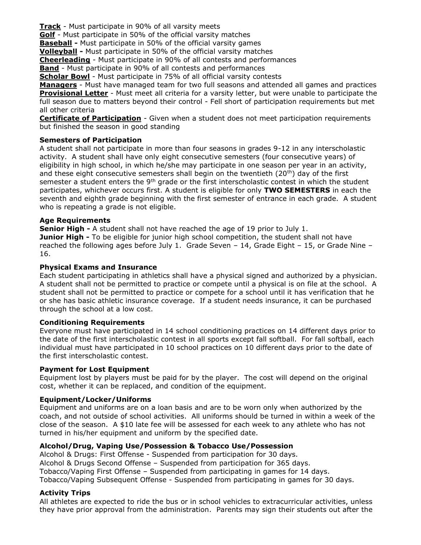**Track** - Must participate in 90% of all varsity meets

**Golf** - Must participate in 50% of the official varsity matches

**Baseball -** Must participate in 50% of the official varsity games

**Volleyball -** Must participate in 50% of the official varsity matches

**Cheerleading** - Must participate in 90% of all contests and performances

**Band** - Must participate in 90% of all contests and performances

**Scholar Bowl** - Must participate in 75% of all official varsity contests

**Managers** - Must have managed team for two full seasons and attended all games and practices **Provisional Letter** - Must meet all criteria for a varsity letter, but were unable to participate the full season due to matters beyond their control - Fell short of participation requirements but met all other criteria

**Certificate of Participation** - Given when a student does not meet participation requirements but finished the season in good standing

# **Semesters of Participation**

A student shall not participate in more than four seasons in grades 9-12 in any interscholastic activity. A student shall have only eight consecutive semesters (four consecutive years) of eligibility in high school, in which he/she may participate in one season per year in an activity, and these eight consecutive semesters shall begin on the twentieth  $(20<sup>th</sup>)$  day of the first semester a student enters the  $9<sup>th</sup>$  grade or the first interscholastic contest in which the student participates, whichever occurs first. A student is eligible for only **TWO SEMESTERS** in each the seventh and eighth grade beginning with the first semester of entrance in each grade. A student who is repeating a grade is not eligible.

# **Age Requirements**

**Senior High -** A student shall not have reached the age of 19 prior to July 1. **Junior High -** To be eligible for junior high school competition, the student shall not have reached the following ages before July 1. Grade Seven – 14, Grade Eight – 15, or Grade Nine – 16.

# **Physical Exams and Insurance**

Each student participating in athletics shall have a physical signed and authorized by a physician. A student shall not be permitted to practice or compete until a physical is on file at the school. A student shall not be permitted to practice or compete for a school until it has verification that he or she has basic athletic insurance coverage. If a student needs insurance, it can be purchased through the school at a low cost.

# **Conditioning Requirements**

Everyone must have participated in 14 school conditioning practices on 14 different days prior to the date of the first interscholastic contest in all sports except fall softball. For fall softball, each individual must have participated in 10 school practices on 10 different days prior to the date of the first interscholastic contest.

# **Payment for Lost Equipment**

Equipment lost by players must be paid for by the player. The cost will depend on the original cost, whether it can be replaced, and condition of the equipment.

# **Equipment/Locker/Uniforms**

Equipment and uniforms are on a loan basis and are to be worn only when authorized by the coach, and not outside of school activities. All uniforms should be turned in within a week of the close of the season. A \$10 late fee will be assessed for each week to any athlete who has not turned in his/her equipment and uniform by the specified date.

# **Alcohol/Drug, Vaping Use/Possession & Tobacco Use/Possession**

Alcohol & Drugs: First Offense - Suspended from participation for 30 days. Alcohol & Drugs Second Offense – Suspended from participation for 365 days. Tobacco/Vaping First Offense – Suspended from participating in games for 14 days. Tobacco/Vaping Subsequent Offense - Suspended from participating in games for 30 days.

# **Activity Trips**

All athletes are expected to ride the bus or in school vehicles to extracurricular activities, unless they have prior approval from the administration. Parents may sign their students out after the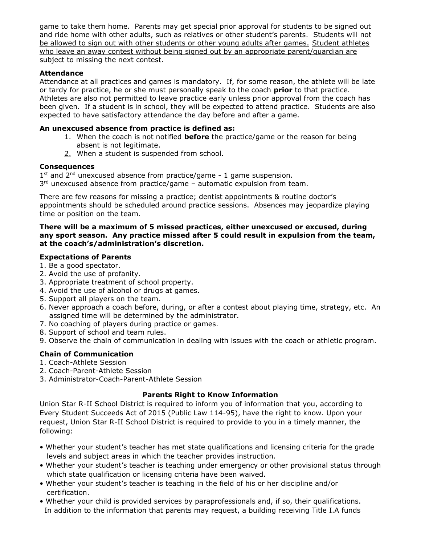game to take them home. Parents may get special prior approval for students to be signed out and ride home with other adults, such as relatives or other student's parents. Students will not be allowed to sign out with other students or other young adults after games. Student athletes who leave an away contest without being signed out by an appropriate parent/guardian are subject to missing the next contest.

# **Attendance**

Attendance at all practices and games is mandatory. If, for some reason, the athlete will be late or tardy for practice, he or she must personally speak to the coach **prior** to that practice. Athletes are also not permitted to leave practice early unless prior approval from the coach has been given. If a student is in school, they will be expected to attend practice. Students are also expected to have satisfactory attendance the day before and after a game.

# **An unexcused absence from practice is defined as:**

- 1. When the coach is not notified **before** the practice/game or the reason for being absent is not legitimate.
- 2. When a student is suspended from school.

# **Consequences**

 $1<sup>st</sup>$  and  $2<sup>nd</sup>$  unexcused absence from practice/game - 1 game suspension. 3<sup>rd</sup> unexcused absence from practice/game – automatic expulsion from team.

There are few reasons for missing a practice; dentist appointments & routine doctor's appointments should be scheduled around practice sessions. Absences may jeopardize playing time or position on the team.

# **There will be a maximum of 5 missed practices, either unexcused or excused, during any sport season. Any practice missed after 5 could result in expulsion from the team, at the coach's/administration's discretion.**

# **Expectations of Parents**

- 1. Be a good spectator.
- 2. Avoid the use of profanity.
- 3. Appropriate treatment of school property.
- 4. Avoid the use of alcohol or drugs at games.
- 5. Support all players on the team.
- 6. Never approach a coach before, during, or after a contest about playing time, strategy, etc. An assigned time will be determined by the administrator.
- 7. No coaching of players during practice or games.
- 8. Support of school and team rules.
- 9. Observe the chain of communication in dealing with issues with the coach or athletic program.

# **Chain of Communication**

- 1. Coach-Athlete Session
- 2. Coach-Parent-Athlete Session
- 3. Administrator-Coach-Parent-Athlete Session

# **Parents Right to Know Information**

Union Star R-II School District is required to inform you of information that you, according to Every Student Succeeds Act of 2015 (Public Law 114-95), have the right to know. Upon your request, Union Star R-II School District is required to provide to you in a timely manner, the following:

- Whether your student's teacher has met state qualifications and licensing criteria for the grade levels and subject areas in which the teacher provides instruction.
- Whether your student's teacher is teaching under emergency or other provisional status through which state qualification or licensing criteria have been waived.
- Whether your student's teacher is teaching in the field of his or her discipline and/or certification.
- Whether your child is provided services by paraprofessionals and, if so, their qualifications. In addition to the information that parents may request, a building receiving Title I.A funds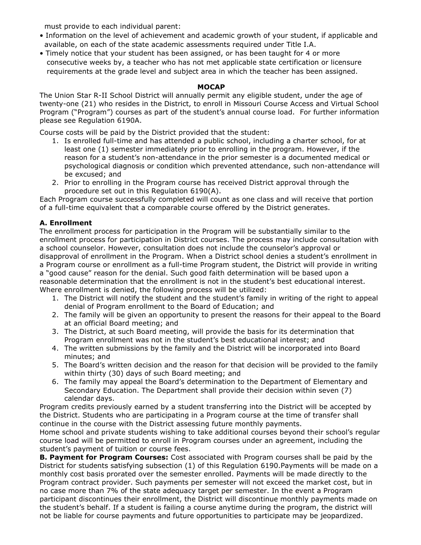must provide to each individual parent:

- Information on the level of achievement and academic growth of your student, if applicable and available, on each of the state academic assessments required under Title I.A.
- Timely notice that your student has been assigned, or has been taught for 4 or more consecutive weeks by, a teacher who has not met applicable state certification or licensure requirements at the grade level and subject area in which the teacher has been assigned.

# **MOCAP**

The Union Star R-II School District will annually permit any eligible student, under the age of twenty-one (21) who resides in the District, to enroll in Missouri Course Access and Virtual School Program ("Program") courses as part of the student's annual course load. For further information please see Regulation 6190A.

Course costs will be paid by the District provided that the student:

- 1. Is enrolled full-time and has attended a public school, including a charter school, for at least one (1) semester immediately prior to enrolling in the program. However, if the reason for a student's non-attendance in the prior semester is a documented medical or psychological diagnosis or condition which prevented attendance, such non-attendance will be excused; and
- 2. Prior to enrolling in the Program course has received District approval through the procedure set out in this Regulation 6190(A).

Each Program course successfully completed will count as one class and will receive that portion of a full-time equivalent that a comparable course offered by the District generates.

# **A. Enrollment**

The enrollment process for participation in the Program will be substantially similar to the enrollment process for participation in District courses. The process may include consultation with a school counselor. However, consultation does not include the counselor's approval or disapproval of enrollment in the Program. When a District school denies a student's enrollment in a Program course or enrollment as a full-time Program student, the District will provide in writing a "good cause" reason for the denial. Such good faith determination will be based upon a reasonable determination that the enrollment is not in the student's best educational interest. Where enrollment is denied, the following process will be utilized:

- 1. The District will notify the student and the student's family in writing of the right to appeal denial of Program enrollment to the Board of Education; and
- 2. The family will be given an opportunity to present the reasons for their appeal to the Board at an official Board meeting; and
- 3. The District, at such Board meeting, will provide the basis for its determination that Program enrollment was not in the student's best educational interest; and
- 4. The written submissions by the family and the District will be incorporated into Board minutes; and
- 5. The Board's written decision and the reason for that decision will be provided to the family within thirty (30) days of such Board meeting; and
- 6. The family may appeal the Board's determination to the Department of Elementary and Secondary Education. The Department shall provide their decision within seven (7) calendar days.

Program credits previously earned by a student transferring into the District will be accepted by the District. Students who are participating in a Program course at the time of transfer shall continue in the course with the District assessing future monthly payments.

Home school and private students wishing to take additional courses beyond their school's regular course load will be permitted to enroll in Program courses under an agreement, including the student's payment of tuition or course fees.

**B. Payment for Program Courses:** Cost associated with Program courses shall be paid by the District for students satisfying subsection (1) of this Regulation 6190.Payments will be made on a monthly cost basis prorated over the semester enrolled. Payments will be made directly to the Program contract provider. Such payments per semester will not exceed the market cost, but in no case more than 7% of the state adequacy target per semester. In the event a Program participant discontinues their enrollment, the District will discontinue monthly payments made on the student's behalf. If a student is failing a course anytime during the program, the district will not be liable for course payments and future opportunities to participate may be jeopardized.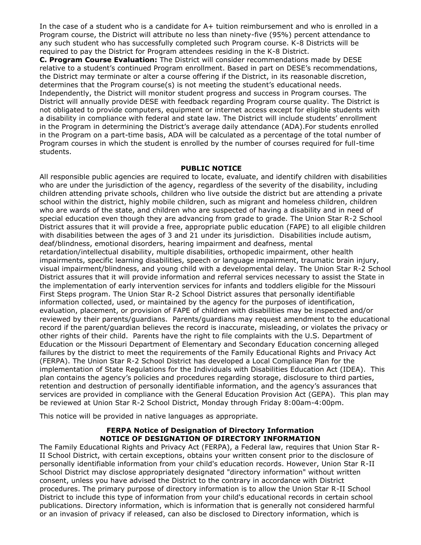In the case of a student who is a candidate for A+ tuition reimbursement and who is enrolled in a Program course, the District will attribute no less than ninety-five (95%) percent attendance to any such student who has successfully completed such Program course. K-8 Districts will be required to pay the District for Program attendees residing in the K-8 District.

**C. Program Course Evaluation:** The District will consider recommendations made by DESE relative to a student's continued Program enrollment. Based in part on DESE's recommendations, the District may terminate or alter a course offering if the District, in its reasonable discretion, determines that the Program course(s) is not meeting the student's educational needs. Independently, the District will monitor student progress and success in Program courses. The District will annually provide DESE with feedback regarding Program course quality. The District is not obligated to provide computers, equipment or internet access except for eligible students with a disability in compliance with federal and state law. The District will include students' enrollment in the Program in determining the District's average daily attendance (ADA).For students enrolled in the Program on a part-time basis, ADA will be calculated as a percentage of the total number of Program courses in which the student is enrolled by the number of courses required for full-time students.

### **PUBLIC NOTICE**

All responsible public agencies are required to locate, evaluate, and identify children with disabilities who are under the jurisdiction of the agency, regardless of the severity of the disability, including children attending private schools, children who live outside the district but are attending a private school within the district, highly mobile children, such as migrant and homeless children, children who are wards of the state, and children who are suspected of having a disability and in need of special education even though they are advancing from grade to grade. The Union Star R-2 School District assures that it will provide a free, appropriate public education (FAPE) to all eligible children with disabilities between the ages of 3 and 21 under its jurisdiction. Disabilities include autism, deaf/blindness, emotional disorders, hearing impairment and deafness, mental retardation/intellectual disability, multiple disabilities, orthopedic impairment, other health impairments, specific learning disabilities, speech or language impairment, traumatic brain injury, visual impairment/blindness, and young child with a developmental delay. The Union Star R-2 School District assures that it will provide information and referral services necessary to assist the State in the implementation of early intervention services for infants and toddlers eligible for the Missouri First Steps program. The Union Star R-2 School District assures that personally identifiable information collected, used, or maintained by the agency for the purposes of identification, evaluation, placement, or provision of FAPE of children with disabilities may be inspected and/or reviewed by their parents/guardians. Parents/guardians may request amendment to the educational record if the parent/guardian believes the record is inaccurate, misleading, or violates the privacy or other rights of their child. Parents have the right to file complaints with the U.S. Department of Education or the Missouri Department of Elementary and Secondary Education concerning alleged failures by the district to meet the requirements of the Family Educational Rights and Privacy Act (FERPA). The Union Star R-2 School District has developed a Local Compliance Plan for the implementation of State Regulations for the Individuals with Disabilities Education Act (IDEA). This plan contains the agency's policies and procedures regarding storage, disclosure to third parties, retention and destruction of personally identifiable information, and the agency's assurances that services are provided in compliance with the General Education Provision Act (GEPA). This plan may be reviewed at Union Star R-2 School District, Monday through Friday 8:00am-4:00pm.

This notice will be provided in native languages as appropriate.

### **FERPA Notice of Designation of Directory Information NOTICE OF DESIGNATION OF DIRECTORY INFORMATION**

The Family Educational Rights and Privacy Act (FERPA), a Federal law, requires that Union Star R-II School District, with certain exceptions, obtains your written consent prior to the disclosure of personally identifiable information from your child's education records. However, Union Star R-II School District may disclose appropriately designated "directory information" without written consent, unless you have advised the District to the contrary in accordance with District procedures. The primary purpose of directory information is to allow the Union Star R-II School District to include this type of information from your child's educational records in certain school publications. Directory information, which is information that is generally not considered harmful or an invasion of privacy if released, can also be disclosed to Directory information, which is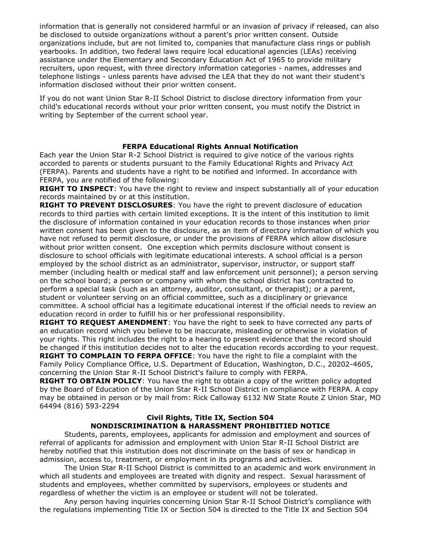information that is generally not considered harmful or an invasion of privacy if released, can also be disclosed to outside organizations without a parent's prior written consent. Outside organizations include, but are not limited to, companies that manufacture class rings or publish yearbooks. In addition, two federal laws require local educational agencies (LEAs) receiving assistance under the Elementary and Secondary Education Act of 1965 to provide military recruiters, upon request, with three directory information categories - names, addresses and telephone listings - unless parents have advised the LEA that they do not want their student's information disclosed without their prior written consent.

If you do not want Union Star R-II School District to disclose directory information from your child's educational records without your prior written consent, you must notify the District in writing by September of the current school year.

### **FERPA Educational Rights Annual Notification**

Each year the Union Star R-2 School District is required to give notice of the various rights accorded to parents or students pursuant to the Family Educational Rights and Privacy Act (FERPA). Parents and students have a right to be notified and informed. In accordance with FERPA, you are notified of the following:

**RIGHT TO INSPECT**: You have the right to review and inspect substantially all of your education records maintained by or at this institution.

**RIGHT TO PREVENT DISCLOSURES**: You have the right to prevent disclosure of education records to third parties with certain limited exceptions. It is the intent of this institution to limit the disclosure of information contained in your education records to those instances when prior written consent has been given to the disclosure, as an item of directory information of which you have not refused to permit disclosure, or under the provisions of FERPA which allow disclosure without prior written consent. One exception which permits disclosure without consent is disclosure to school officials with legitimate educational interests. A school official is a person employed by the school district as an administrator, supervisor, instructor, or support staff member (including health or medical staff and law enforcement unit personnel); a person serving on the school board; a person or company with whom the school district has contracted to perform a special task (such as an attorney, auditor, consultant, or therapist); or a parent, student or volunteer serving on an official committee, such as a disciplinary or grievance committee. A school official has a legitimate educational interest if the official needs to review an education record in order to fulfill his or her professional responsibility.

**RIGHT TO REQUEST AMENDMENT**: You have the right to seek to have corrected any parts of an education record which you believe to be inaccurate, misleading or otherwise in violation of your rights. This right includes the right to a hearing to present evidence that the record should be changed if this institution decides not to alter the education records according to your request. **RIGHT TO COMPLAIN TO FERPA OFFICE**: You have the right to file a complaint with the

Family Policy Compliance Office, U.S. Department of Education, Washington, D.C., 20202-4605, concerning the Union Star R-II School District's failure to comply with FERPA.

**RIGHT TO OBTAIN POLICY**: You have the right to obtain a copy of the written policy adopted by the Board of Education of the Union Star R-II School District in compliance with FERPA. A copy may be obtained in person or by mail from: Rick Calloway 6132 NW State Route Z Union Star, MO 64494 (816) 593-2294

# **Civil Rights, Title IX, Section 504 NONDISCRIMINATION & HARASSMENT PROHIBITIED NOTICE**

Students, parents, employees, applicants for admission and employment and sources of referral of applicants for admission and employment with Union Star R-II School District are hereby notified that this institution does not discriminate on the basis of sex or handicap in admission, access to, treatment, or employment in its programs and activities.

The Union Star R-II School District is committed to an academic and work environment in which all students and employees are treated with dignity and respect. Sexual harassment of students and employees, whether committed by supervisors, employees or students and regardless of whether the victim is an employee or student will not be tolerated.

Any person having inquiries concerning Union Star R-II School District's compliance with the regulations implementing Title IX or Section 504 is directed to the Title IX and Section 504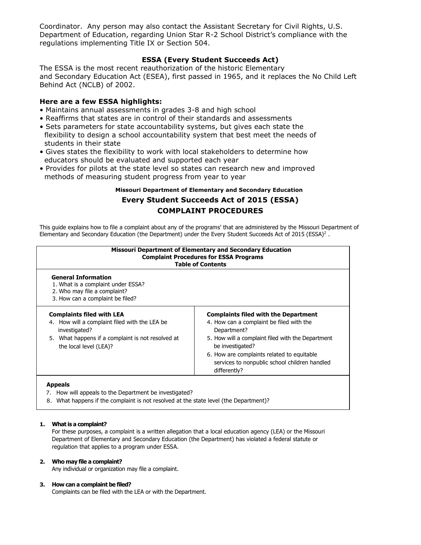Coordinator. Any person may also contact the Assistant Secretary for Civil Rights, U.S. Department of Education, regarding Union Star R-2 School District's compliance with the regulations implementing Title IX or Section 504.

### **ESSA (Every Student Succeeds Act)**

The ESSA is the most recent reauthorization of the historic Elementary and Secondary Education Act (ESEA), first passed in 1965, and it replaces the No Child Left Behind Act (NCLB) of 2002.

### **Here are a few ESSA highlights:**

- Maintains annual assessments in grades 3-8 and high school
- Reaffirms that states are in control of their standards and assessments
- Sets parameters for state accountability systems, but gives each state the flexibility to design a school accountability system that best meet the needs of students in their state
- Gives states the flexibility to work with local stakeholders to determine how educators should be evaluated and supported each year
- Provides for pilots at the state level so states can research new and improved methods of measuring student progress from year to year

# **Missouri Department of Elementary and Secondary Education Every Student Succeeds Act of 2015 (ESSA) COMPLAINT PROCEDURES**

This guide explains how to file a complaint about any of the programs' that are administered by the Missouri Department of Elementary and Secondary Education (the Department) under the Every Student Succeeds Act of 2015 (ESSA)<sup>2</sup>.

| <b>Missouri Department of Elementary and Secondary Education</b><br><b>Complaint Procedures for ESSA Programs</b><br><b>Table of Contents</b>                                     |                                                                                                                                                                                                                                                                                                |  |  |  |
|-----------------------------------------------------------------------------------------------------------------------------------------------------------------------------------|------------------------------------------------------------------------------------------------------------------------------------------------------------------------------------------------------------------------------------------------------------------------------------------------|--|--|--|
| <b>General Information</b><br>1. What is a complaint under ESSA?<br>2. Who may file a complaint?<br>3. How can a complaint be filed?                                              |                                                                                                                                                                                                                                                                                                |  |  |  |
| <b>Complaints filed with LEA</b><br>4. How will a complaint filed with the LEA be<br>investigated?<br>5. What happens if a complaint is not resolved at<br>the local level (LEA)? | <b>Complaints filed with the Department</b><br>4. How can a complaint be filed with the<br>Department?<br>5. How will a complaint filed with the Department<br>be investigated?<br>6. How are complaints related to equitable<br>services to nonpublic school children handled<br>differently? |  |  |  |

- 7. How will appeals to the Department be investigated?
- 8. What happens if the complaint is not resolved at the state level (the Department)?

#### **1. What is a complaint?**

For these purposes, a complaint is a written allegation that a local education agency (LEA) or the Missouri Department of Elementary and Secondary Education (the Department) has violated a federal statute or regulation that applies to a program under ESSA.

#### **2. Who may file a complaint?**

Any individual or organization may file a complaint.

#### **3. How can a complaint be filed?**

Complaints can be filed with the LEA or with the Department.